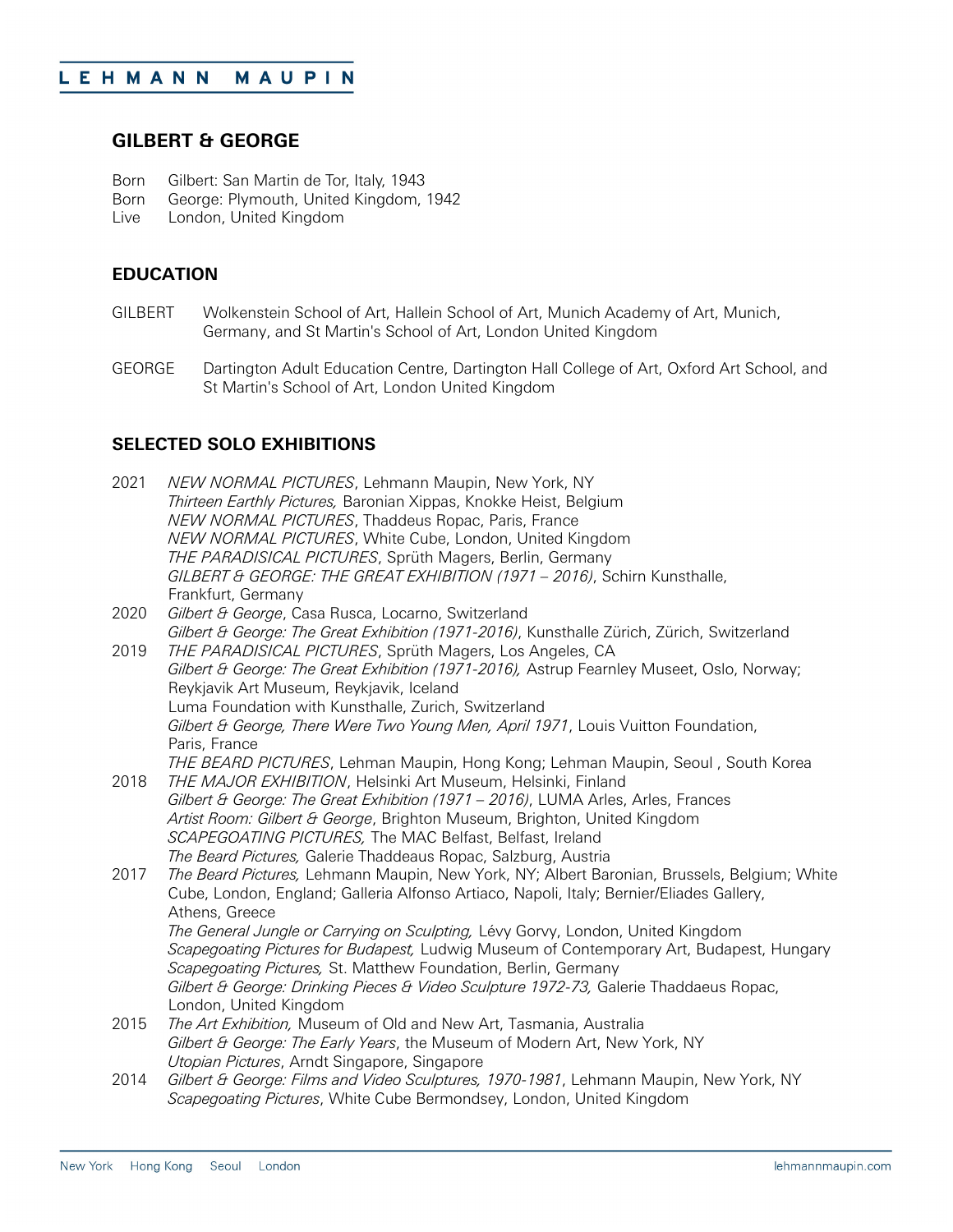## **GILBERT & GEORGE**

- Born Gilbert: San Martin de Tor, Italy, 1943<br>Born George: Plymouth, United Kingdom,
- Born George: Plymouth, United Kingdom, 1942<br>Live London, United Kingdom
- London, United Kingdom

### **EDUCATION**

- GILBERT Wolkenstein School of Art, Hallein School of Art, Munich Academy of Art, Munich, Germany, and St Martin's School of Art, London United Kingdom
- GEORGE Dartington Adult Education Centre, Dartington Hall College of Art, Oxford Art School, and St Martin's School of Art, London United Kingdom

## **SELECTED SOLO EXHIBITIONS**

| 2021 | NEW NORMAL PICTURES, Lehmann Maupin, New York, NY                                           |
|------|---------------------------------------------------------------------------------------------|
|      | Thirteen Earthly Pictures, Baronian Xippas, Knokke Heist, Belgium                           |
|      | NEW NORMAL PICTURES, Thaddeus Ropac, Paris, France                                          |
|      | NEW NORMAL PICTURES, White Cube, London, United Kingdom                                     |
|      | THE PARADISICAL PICTURES, Sprüth Magers, Berlin, Germany                                    |
|      | GILBERT & GEORGE: THE GREAT EXHIBITION (1971 - 2016), Schirn Kunsthalle,                    |
|      | Frankfurt, Germany                                                                          |
| 2020 | Gilbert & George, Casa Rusca, Locarno, Switzerland                                          |
|      | Gilbert & George: The Great Exhibition (1971-2016), Kunsthalle Zürich, Zürich, Switzerland  |
| 2019 | THE PARADISICAL PICTURES, Sprüth Magers, Los Angeles, CA                                    |
|      | Gilbert & George: The Great Exhibition (1971-2016), Astrup Fearnley Museet, Oslo, Norway;   |
|      | Reykjavik Art Museum, Reykjavik, Iceland                                                    |
|      | Luma Foundation with Kunsthalle, Zurich, Switzerland                                        |
|      | Gilbert & George, There Were Two Young Men, April 1971, Louis Vuitton Foundation,           |
|      | Paris, France                                                                               |
|      | THE BEARD PICTURES, Lehman Maupin, Hong Kong; Lehman Maupin, Seoul, South Korea             |
| 2018 | THE MAJOR EXHIBITION, Helsinki Art Museum, Helsinki, Finland                                |
|      | Gilbert & George: The Great Exhibition (1971 - 2016), LUMA Arles, Arles, Frances            |
|      | Artist Room: Gilbert & George, Brighton Museum, Brighton, United Kingdom                    |
|      | SCAPEGOATING PICTURES, The MAC Belfast, Belfast, Ireland                                    |
|      | The Beard Pictures, Galerie Thaddeaus Ropac, Salzburg, Austria                              |
| 2017 | The Beard Pictures, Lehmann Maupin, New York, NY; Albert Baronian, Brussels, Belgium; White |
|      | Cube, London, England; Galleria Alfonso Artiaco, Napoli, Italy; Bernier/Eliades Gallery,    |
|      | Athens, Greece                                                                              |
|      | The General Jungle or Carrying on Sculpting, Lévy Gorvy, London, United Kingdom             |
|      | Scapegoating Pictures for Budapest, Ludwig Museum of Contemporary Art, Budapest, Hungary    |
|      | Scapegoating Pictures, St. Matthew Foundation, Berlin, Germany                              |
|      | Gilbert & George: Drinking Pieces & Video Sculpture 1972-73, Galerie Thaddaeus Ropac,       |
|      | London, United Kingdom                                                                      |
| 2015 | The Art Exhibition, Museum of Old and New Art, Tasmania, Australia                          |
|      | Gilbert & George: The Early Years, the Museum of Modern Art, New York, NY                   |
|      | Utopian Pictures, Arndt Singapore, Singapore                                                |
| 2014 | Gilbert & George: Films and Video Sculptures, 1970-1981, Lehmann Maupin, New York, NY       |
|      | Scapegoating Pictures, White Cube Bermondsey, London, United Kingdom                        |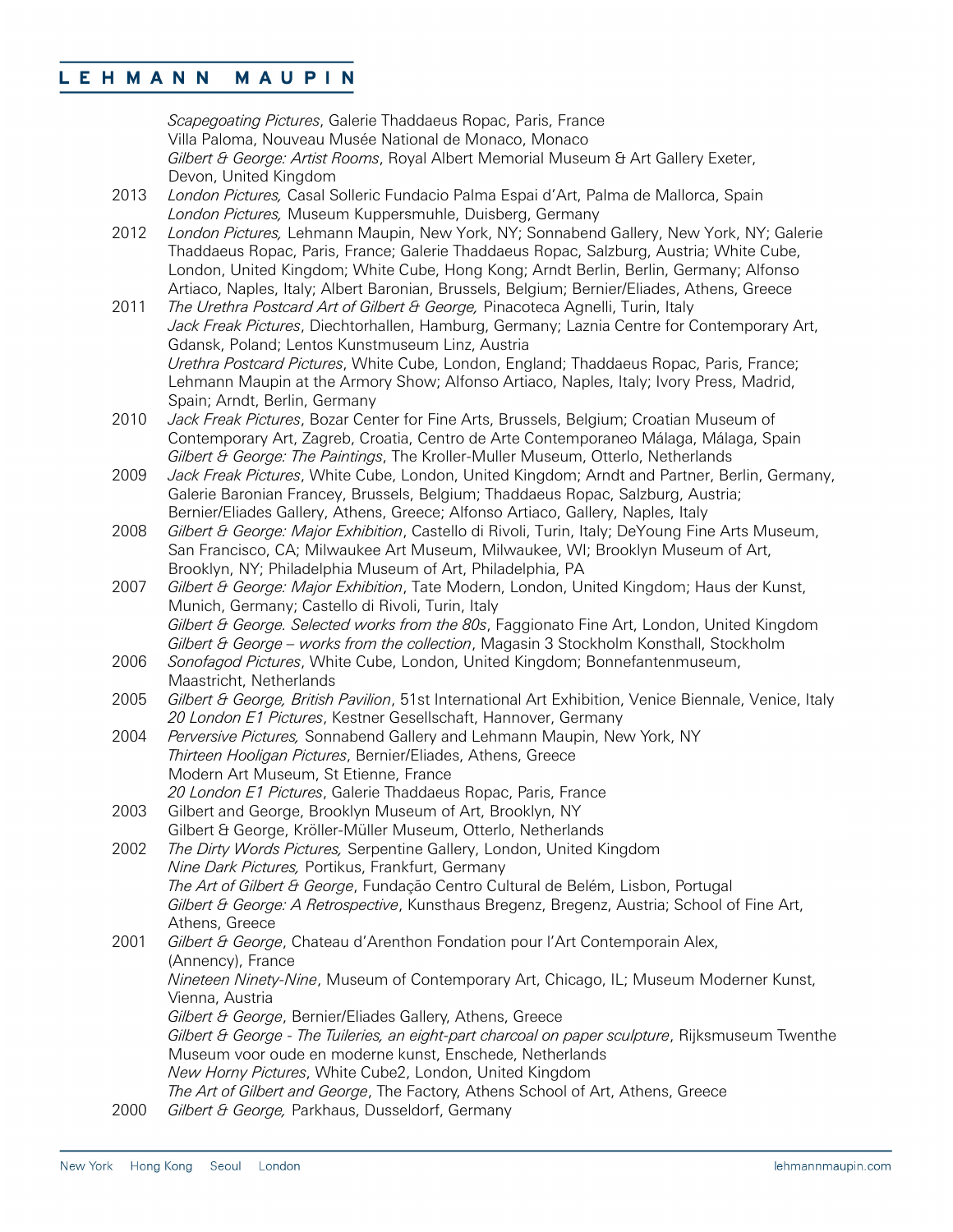*Scapegoating Pictures*, Galerie Thaddaeus Ropac, Paris, France Villa Paloma, Nouveau Musée National de Monaco, Monaco *Gilbert & George: Artist Rooms*, Royal Albert Memorial Museum & Art Gallery Exeter, Devon, United Kingdom

- 2013 *London Pictures,* Casal Solleric Fundacio Palma Espai d'Art, Palma de Mallorca, Spain *London Pictures,* Museum Kuppersmuhle, Duisberg, Germany
- 2012 *London Pictures,* Lehmann Maupin, New York, NY; Sonnabend Gallery, New York, NY; Galerie Thaddaeus Ropac, Paris, France; Galerie Thaddaeus Ropac, Salzburg, Austria; White Cube, London, United Kingdom; White Cube, Hong Kong; Arndt Berlin, Berlin, Germany; Alfonso Artiaco, Naples, Italy; Albert Baronian, Brussels, Belgium; Bernier/Eliades, Athens, Greece
- 2011 *The Urethra Postcard Art of Gilbert & George,* Pinacoteca Agnelli, Turin, Italy *Jack Freak Pictures*, Diechtorhallen, Hamburg, Germany; Laznia Centre for Contemporary Art, Gdansk, Poland; Lentos Kunstmuseum Linz, Austria *Urethra Postcard Pictures*, White Cube, London, England; Thaddaeus Ropac, Paris, France; Lehmann Maupin at the Armory Show; Alfonso Artiaco, Naples, Italy; Ivory Press, Madrid, Spain; Arndt, Berlin, Germany
- 2010 *Jack Freak Pictures*, Bozar Center for Fine Arts, Brussels, Belgium; Croatian Museum of Contemporary Art, Zagreb, Croatia, Centro de Arte Contemporaneo Málaga, Málaga, Spain *Gilbert & George: The Paintings*, The Kroller-Muller Museum, Otterlo, Netherlands
- 2009 *Jack Freak Pictures*, White Cube, London, United Kingdom; Arndt and Partner, Berlin, Germany, Galerie Baronian Francey, Brussels, Belgium; Thaddaeus Ropac, Salzburg, Austria; Bernier/Eliades Gallery, Athens, Greece; Alfonso Artiaco, Gallery, Naples, Italy
- 2008 *Gilbert & George: Major Exhibition*, Castello di Rivoli, Turin, Italy; DeYoung Fine Arts Museum, San Francisco, CA; Milwaukee Art Museum, Milwaukee, WI; Brooklyn Museum of Art, Brooklyn, NY; Philadelphia Museum of Art, Philadelphia, PA
- 2007 *Gilbert & George: Major Exhibition*, Tate Modern, London, United Kingdom; Haus der Kunst, Munich, Germany; Castello di Rivoli, Turin, Italy *Gilbert & George. Selected works from the 80s*, Faggionato Fine Art, London, United Kingdom *Gilbert & George – works from the collection*, Magasin 3 Stockholm Konsthall, Stockholm
- 2006 *Sonofagod Pictures*, White Cube, London, United Kingdom; Bonnefantenmuseum, Maastricht, Netherlands
- 2005 *Gilbert & George, British Pavilion*, 51st International Art Exhibition, Venice Biennale, Venice, Italy *20 London E1 Pictures*, Kestner Gesellschaft, Hannover, Germany
- 2004 *Perversive Pictures,* Sonnabend Gallery and Lehmann Maupin, New York, NY *Thirteen Hooligan Pictures*, Bernier/Eliades, Athens, Greece Modern Art Museum, St Etienne, France *20 London E1 Pictures*, Galerie Thaddaeus Ropac, Paris, France
- 2003 Gilbert and George, Brooklyn Museum of Art, Brooklyn, NY Gilbert & George, Kröller-Müller Museum, Otterlo, Netherlands
- 2002 *The Dirty Words Pictures,* Serpentine Gallery, London, United Kingdom *Nine Dark Pictures,* Portikus, Frankfurt, Germany *The Art of Gilbert & George*, Fundação Centro Cultural de Belém, Lisbon, Portugal *Gilbert & George: A Retrospective*, Kunsthaus Bregenz, Bregenz, Austria; School of Fine Art, Athens, Greece

2001 *Gilbert & George*, Chateau d'Arenthon Fondation pour l'Art Contemporain Alex, (Annency), France *Nineteen Ninety-Nine*, Museum of Contemporary Art, Chicago, IL; Museum Moderner Kunst, Vienna, Austria *Gilbert & George*, Bernier/Eliades Gallery, Athens, Greece *Gilbert & George - The Tuileries, an eight-part charcoal on paper sculpture*, Rijksmuseum Twenthe Museum voor oude en moderne kunst, Enschede, Netherlands *New Horny Pictures*, White Cube2, London, United Kingdom *The Art of Gilbert and George*, The Factory, Athens School of Art, Athens, Greece

2000 *Gilbert & George,* Parkhaus, Dusseldorf, Germany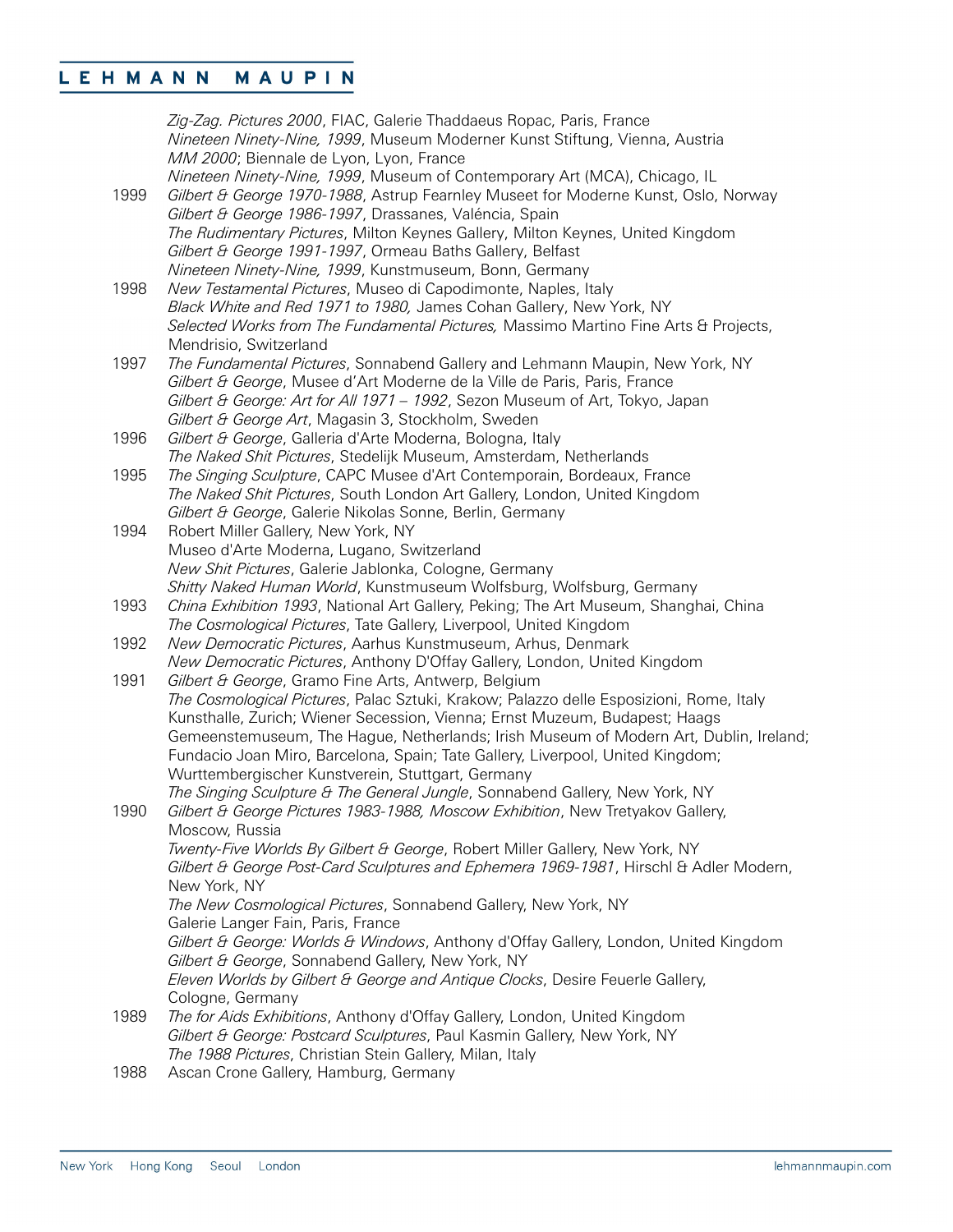|      | Zig-Zag. Pictures 2000, FIAC, Galerie Thaddaeus Ropac, Paris, France<br>Nineteen Ninety-Nine, 1999, Museum Moderner Kunst Stiftung, Vienna, Austria<br>MM 2000; Biennale de Lyon, Lyon, France |
|------|------------------------------------------------------------------------------------------------------------------------------------------------------------------------------------------------|
|      | Nineteen Ninety-Nine, 1999, Museum of Contemporary Art (MCA), Chicago, IL                                                                                                                      |
| 1999 | Gilbert & George 1970-1988, Astrup Fearnley Museet for Moderne Kunst, Oslo, Norway                                                                                                             |
|      | Gilbert & George 1986-1997, Drassanes, Valéncia, Spain                                                                                                                                         |
|      |                                                                                                                                                                                                |
|      | The Rudimentary Pictures, Milton Keynes Gallery, Milton Keynes, United Kingdom                                                                                                                 |
|      | Gilbert & George 1991-1997, Ormeau Baths Gallery, Belfast                                                                                                                                      |
|      | Nineteen Ninety-Nine, 1999, Kunstmuseum, Bonn, Germany                                                                                                                                         |
| 1998 | New Testamental Pictures, Museo di Capodimonte, Naples, Italy                                                                                                                                  |
|      | Black White and Red 1971 to 1980, James Cohan Gallery, New York, NY                                                                                                                            |
|      | Selected Works from The Fundamental Pictures, Massimo Martino Fine Arts & Projects,                                                                                                            |
|      | Mendrisio, Switzerland                                                                                                                                                                         |
| 1997 | The Fundamental Pictures, Sonnabend Gallery and Lehmann Maupin, New York, NY                                                                                                                   |
|      | Gilbert & George, Musee d'Art Moderne de la Ville de Paris, Paris, France                                                                                                                      |
|      | Gilbert & George: Art for All 1971 - 1992, Sezon Museum of Art, Tokyo, Japan                                                                                                                   |
|      | Gilbert & George Art, Magasin 3, Stockholm, Sweden                                                                                                                                             |
| 1996 | Gilbert & George, Galleria d'Arte Moderna, Bologna, Italy                                                                                                                                      |
|      | The Naked Shit Pictures, Stedelijk Museum, Amsterdam, Netherlands                                                                                                                              |
| 1995 | The Singing Sculpture, CAPC Musee d'Art Contemporain, Bordeaux, France                                                                                                                         |
|      | The Naked Shit Pictures, South London Art Gallery, London, United Kingdom                                                                                                                      |
|      | Gilbert & George, Galerie Nikolas Sonne, Berlin, Germany                                                                                                                                       |
| 1994 | Robert Miller Gallery, New York, NY                                                                                                                                                            |
|      | Museo d'Arte Moderna, Lugano, Switzerland                                                                                                                                                      |
|      | New Shit Pictures, Galerie Jablonka, Cologne, Germany                                                                                                                                          |
|      | Shitty Naked Human World, Kunstmuseum Wolfsburg, Wolfsburg, Germany                                                                                                                            |
| 1993 | China Exhibition 1993, National Art Gallery, Peking; The Art Museum, Shanghai, China                                                                                                           |
|      | The Cosmological Pictures, Tate Gallery, Liverpool, United Kingdom                                                                                                                             |
| 1992 | New Democratic Pictures, Aarhus Kunstmuseum, Arhus, Denmark                                                                                                                                    |
|      | New Democratic Pictures, Anthony D'Offay Gallery, London, United Kingdom                                                                                                                       |
| 1991 | Gilbert & George, Gramo Fine Arts, Antwerp, Belgium                                                                                                                                            |
|      | The Cosmological Pictures, Palac Sztuki, Krakow; Palazzo delle Esposizioni, Rome, Italy                                                                                                        |
|      | Kunsthalle, Zurich; Wiener Secession, Vienna; Ernst Muzeum, Budapest; Haags                                                                                                                    |
|      | Gemeenstemuseum, The Hague, Netherlands; Irish Museum of Modern Art, Dublin, Ireland;                                                                                                          |
|      | Fundacio Joan Miro, Barcelona, Spain; Tate Gallery, Liverpool, United Kingdom;                                                                                                                 |
|      | Wurttembergischer Kunstverein, Stuttgart, Germany                                                                                                                                              |
|      | The Singing Sculpture & The General Jungle, Sonnabend Gallery, New York, NY                                                                                                                    |
| 1990 | Gilbert & George Pictures 1983-1988, Moscow Exhibition, New Tretyakov Gallery,                                                                                                                 |
|      | Moscow, Russia                                                                                                                                                                                 |
|      | Twenty-Five Worlds By Gilbert & George, Robert Miller Gallery, New York, NY                                                                                                                    |
|      | Gilbert & George Post-Card Sculptures and Ephemera 1969-1981, Hirschl & Adler Modern,                                                                                                          |
|      | New York, NY                                                                                                                                                                                   |
|      | The New Cosmological Pictures, Sonnabend Gallery, New York, NY                                                                                                                                 |
|      | Galerie Langer Fain, Paris, France                                                                                                                                                             |
|      | Gilbert & George: Worlds & Windows, Anthony d'Offay Gallery, London, United Kingdom                                                                                                            |
|      | Gilbert & George, Sonnabend Gallery, New York, NY                                                                                                                                              |
|      | Eleven Worlds by Gilbert & George and Antique Clocks, Desire Feuerle Gallery,                                                                                                                  |
|      | Cologne, Germany                                                                                                                                                                               |
| 1989 | The for Aids Exhibitions, Anthony d'Offay Gallery, London, United Kingdom                                                                                                                      |
|      | Gilbert & George: Postcard Sculptures, Paul Kasmin Gallery, New York, NY                                                                                                                       |
|      | The 1988 Pictures, Christian Stein Gallery, Milan, Italy                                                                                                                                       |
| 1988 | Ascan Crone Gallery Hamburg Germany                                                                                                                                                            |

1988 Ascan Crone Gallery, Hamburg, Germany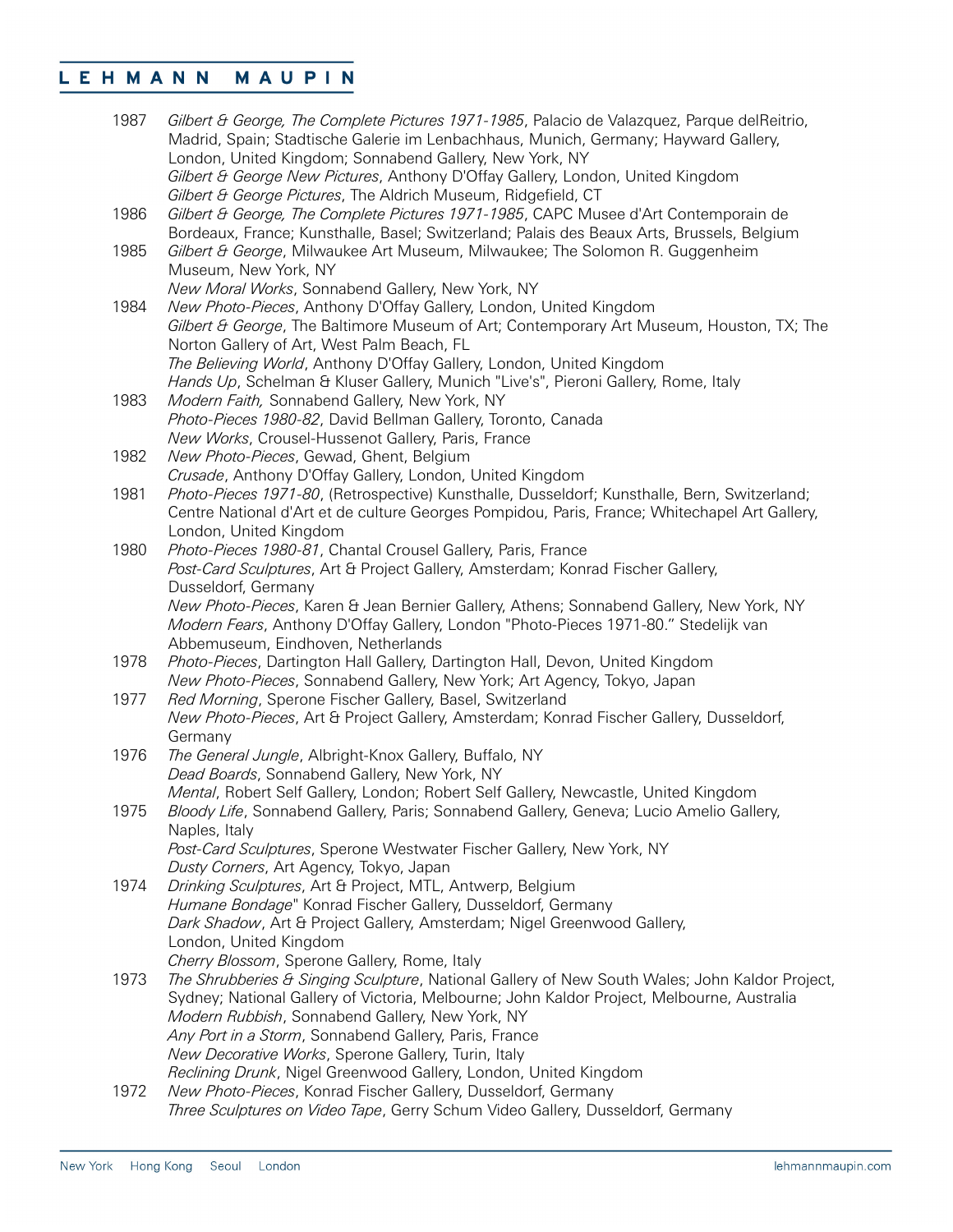| 1987 | Gilbert & George, The Complete Pictures 1971-1985, Palacio de Valazquez, Parque delReitrio,<br>Madrid, Spain; Stadtische Galerie im Lenbachhaus, Munich, Germany; Hayward Gallery,<br>London, United Kingdom; Sonnabend Gallery, New York, NY                                                                                                                                                                                 |
|------|-------------------------------------------------------------------------------------------------------------------------------------------------------------------------------------------------------------------------------------------------------------------------------------------------------------------------------------------------------------------------------------------------------------------------------|
|      | Gilbert & George New Pictures, Anthony D'Offay Gallery, London, United Kingdom<br>Gilbert & George Pictures, The Aldrich Museum, Ridgefield, CT                                                                                                                                                                                                                                                                               |
| 1986 | Gilbert & George, The Complete Pictures 1971-1985, CAPC Musee d'Art Contemporain de<br>Bordeaux, France; Kunsthalle, Basel; Switzerland; Palais des Beaux Arts, Brussels, Belgium                                                                                                                                                                                                                                             |
| 1985 | Gilbert & George, Milwaukee Art Museum, Milwaukee; The Solomon R. Guggenheim<br>Museum, New York, NY                                                                                                                                                                                                                                                                                                                          |
| 1984 | New Moral Works, Sonnabend Gallery, New York, NY<br>New Photo-Pieces, Anthony D'Offay Gallery, London, United Kingdom<br>Gilbert & George, The Baltimore Museum of Art; Contemporary Art Museum, Houston, TX; The<br>Norton Gallery of Art, West Palm Beach, FL<br>The Believing World, Anthony D'Offay Gallery, London, United Kingdom<br>Hands Up, Schelman & Kluser Gallery, Munich "Live's", Pieroni Gallery, Rome, Italy |
| 1983 | Modern Faith, Sonnabend Gallery, New York, NY<br>Photo-Pieces 1980-82, David Bellman Gallery, Toronto, Canada                                                                                                                                                                                                                                                                                                                 |
| 1982 | New Works, Crousel-Hussenot Gallery, Paris, France<br>New Photo-Pieces, Gewad, Ghent, Belgium                                                                                                                                                                                                                                                                                                                                 |
| 1981 | Crusade, Anthony D'Offay Gallery, London, United Kingdom<br>Photo-Pieces 1971-80, (Retrospective) Kunsthalle, Dusseldorf; Kunsthalle, Bern, Switzerland;<br>Centre National d'Art et de culture Georges Pompidou, Paris, France; Whitechapel Art Gallery,<br>London, United Kingdom                                                                                                                                           |
| 1980 | Photo-Pieces 1980-81, Chantal Crousel Gallery, Paris, France<br>Post-Card Sculptures, Art & Project Gallery, Amsterdam; Konrad Fischer Gallery,<br>Dusseldorf, Germany                                                                                                                                                                                                                                                        |
|      | New Photo-Pieces, Karen & Jean Bernier Gallery, Athens; Sonnabend Gallery, New York, NY<br>Modern Fears, Anthony D'Offay Gallery, London "Photo-Pieces 1971-80." Stedelijk van<br>Abbemuseum, Eindhoven, Netherlands                                                                                                                                                                                                          |
| 1978 | Photo-Pieces, Dartington Hall Gallery, Dartington Hall, Devon, United Kingdom<br>New Photo-Pieces, Sonnabend Gallery, New York; Art Agency, Tokyo, Japan                                                                                                                                                                                                                                                                      |
| 1977 | Red Morning, Sperone Fischer Gallery, Basel, Switzerland<br>New Photo-Pieces, Art & Project Gallery, Amsterdam; Konrad Fischer Gallery, Dusseldorf,<br>Germany                                                                                                                                                                                                                                                                |
| 1976 | The General Jungle, Albright-Knox Gallery, Buffalo, NY<br>Dead Boards, Sonnabend Gallery, New York, NY                                                                                                                                                                                                                                                                                                                        |
| 1975 | Mental, Robert Self Gallery, London; Robert Self Gallery, Newcastle, United Kingdom<br>Bloody Life, Sonnabend Gallery, Paris; Sonnabend Gallery, Geneva; Lucio Amelio Gallery,<br>Naples, Italy<br>Post-Card Sculptures, Sperone Westwater Fischer Gallery, New York, NY                                                                                                                                                      |
| 1974 | Dusty Corners, Art Agency, Tokyo, Japan<br>Drinking Sculptures, Art & Project, MTL, Antwerp, Belgium<br>Humane Bondage" Konrad Fischer Gallery, Dusseldorf, Germany                                                                                                                                                                                                                                                           |
|      | Dark Shadow, Art & Project Gallery, Amsterdam; Nigel Greenwood Gallery,<br>London, United Kingdom<br>Cherry Blossom, Sperone Gallery, Rome, Italy                                                                                                                                                                                                                                                                             |
| 1973 | The Shrubberies & Singing Sculpture, National Gallery of New South Wales; John Kaldor Project,<br>Sydney; National Gallery of Victoria, Melbourne; John Kaldor Project, Melbourne, Australia<br>Modern Rubbish, Sonnabend Gallery, New York, NY<br>Any Port in a Storm, Sonnabend Gallery, Paris, France<br>New Decorative Works, Sperone Gallery, Turin, Italy                                                               |
| 1972 | Reclining Drunk, Nigel Greenwood Gallery, London, United Kingdom<br>New Photo-Pieces, Konrad Fischer Gallery, Dusseldorf, Germany                                                                                                                                                                                                                                                                                             |
|      | Three Sculptures on Video Tape, Gerry Schum Video Gallery, Dusseldorf, Germany                                                                                                                                                                                                                                                                                                                                                |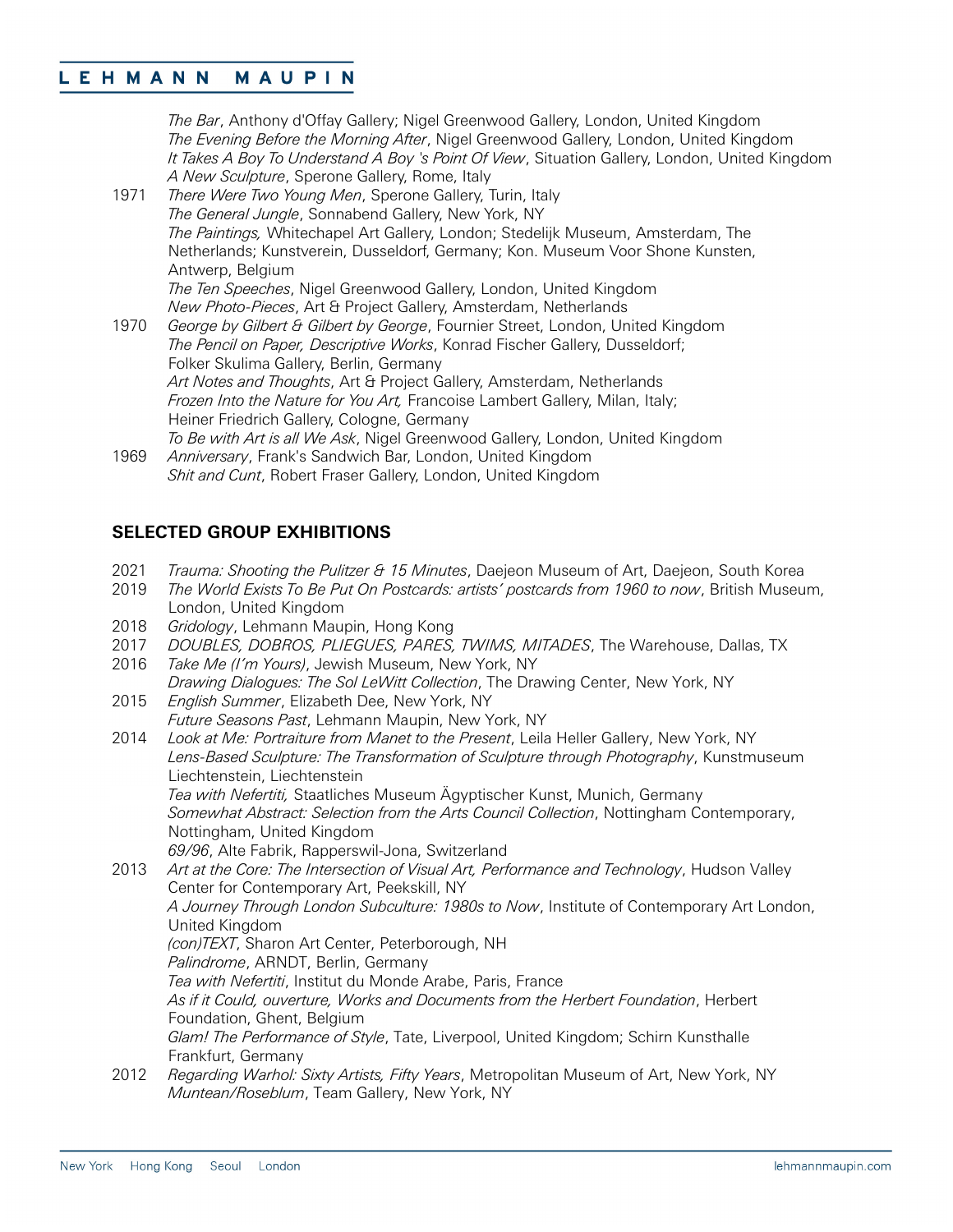*The Bar*, Anthony d'Offay Gallery; Nigel Greenwood Gallery, London, United Kingdom *The Evening Before the Morning After*, Nigel Greenwood Gallery, London, United Kingdom *It Takes A Boy To Understand A Boy 's Point Of View*, Situation Gallery, London, United Kingdom *A New Sculpture*, Sperone Gallery, Rome, Italy

- 1971 *There Were Two Young Men*, Sperone Gallery, Turin, Italy *The General Jungle*, Sonnabend Gallery, New York, NY *The Paintings,* Whitechapel Art Gallery, London; Stedelijk Museum, Amsterdam, The Netherlands; Kunstverein, Dusseldorf, Germany; Kon. Museum Voor Shone Kunsten, Antwerp, Belgium *The Ten Speeches*, Nigel Greenwood Gallery, London, United Kingdom *New Photo-Pieces*, Art & Project Gallery, Amsterdam, Netherlands 1970 *George by Gilbert & Gilbert by George*, Fournier Street, London, United Kingdom
- *The Pencil on Paper, Descriptive Works*, Konrad Fischer Gallery, Dusseldorf; Folker Skulima Gallery, Berlin, Germany *Art Notes and Thoughts*, Art & Project Gallery, Amsterdam, Netherlands *Frozen Into the Nature for You Art,* Francoise Lambert Gallery, Milan, Italy; Heiner Friedrich Gallery, Cologne, Germany *To Be with Art is all We Ask*, Nigel Greenwood Gallery, London, United Kingdom
- 1969 *Anniversary*, Frank's Sandwich Bar, London, United Kingdom *Shit and Cunt*, Robert Fraser Gallery, London, United Kingdom

### **SELECTED GROUP EXHIBITIONS**

- 2021 *Trauma: Shooting the Pulitzer & 15 Minutes*, Daejeon Museum of Art, Daejeon, South Korea
- 2019 *The World Exists To Be Put On Postcards: artists' postcards from 1960 to now*, British Museum, London, United Kingdom
- 2018 *Gridology*, Lehmann Maupin, Hong Kong
- 2017 *DOUBLES, DOBROS, PLIEGUES, PARES, TWIMS, MITADES*, The Warehouse, Dallas, TX
- 2016 *Take Me (I'm Yours)*, Jewish Museum, New York, NY *Drawing Dialogues: The Sol LeWitt Collection*, The Drawing Center, New York, NY
- 2015 *English Summer*, Elizabeth Dee, New York, NY *Future Seasons Past*, Lehmann Maupin, New York, NY
- 2014 *Look at Me: Portraiture from Manet to the Present*, Leila Heller Gallery, New York, NY *Lens-Based Sculpture: The Transformation of Sculpture through Photography*, Kunstmuseum Liechtenstein, Liechtenstein *Tea with Nefertiti,* Staatliches Museum Ägyptischer Kunst, Munich, Germany *Somewhat Abstract: Selection from the Arts Council Collection*, Nottingham Contemporary, Nottingham, United Kingdom
	- *69/96*, Alte Fabrik, Rapperswil-Jona, Switzerland
- 2013 *Art at the Core: The Intersection of Visual Art, Performance and Technology*, Hudson Valley Center for Contemporary Art, Peekskill, NY *A Journey Through London Subculture: 1980s to Now*, Institute of Contemporary Art London, United Kingdom *(con)TEXT*, Sharon Art Center, Peterborough, NH *Palindrome*, ARNDT, Berlin, Germany *Tea with Nefertiti*, Institut du Monde Arabe, Paris, France *As if it Could, ouverture, Works and Documents from the Herbert Foundation*, Herbert Foundation, Ghent, Belgium *Glam! The Performance of Style*, Tate, Liverpool, United Kingdom; Schirn Kunsthalle Frankfurt, Germany 2012 *Regarding Warhol: Sixty Artists, Fifty Years*, Metropolitan Museum of Art, New York, NY *Muntean/Roseblum*, Team Gallery, New York, NY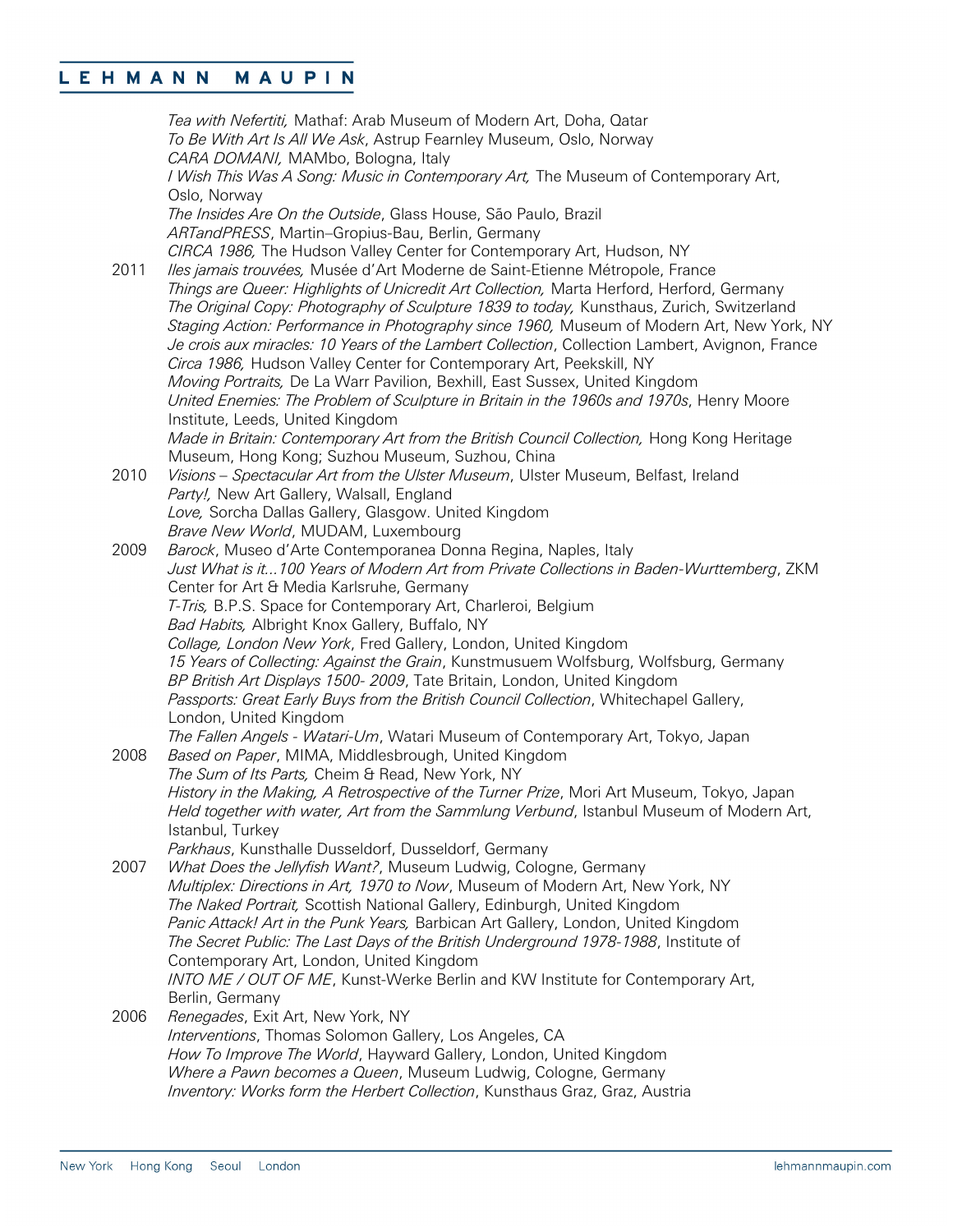*Tea with Nefertiti,* Mathaf: Arab Museum of Modern Art, Doha, Qatar *To Be With Art Is All We Ask*, Astrup Fearnley Museum, Oslo, Norway *CARA DOMANI,* MAMbo, Bologna, Italy *I Wish This Was A Song: Music in Contemporary Art,* The Museum of Contemporary Art, Oslo, Norway *The Insides Are On the Outside*, Glass House, São Paulo, Brazil *ARTandPRESS*, Martin–Gropius-Bau, Berlin, Germany *CIRCA 1986,* The Hudson Valley Center for Contemporary Art, Hudson, NY 2011 *Iles jamais trouvées,* Musée d'Art Moderne de Saint-Etienne Métropole, France *Things are Queer: Highlights of Unicredit Art Collection,* Marta Herford, Herford, Germany *The Original Copy: Photography of Sculpture 1839 to today,* Kunsthaus, Zurich, Switzerland *Staging Action: Performance in Photography since 1960,* Museum of Modern Art, New York, NY *Je crois aux miracles: 10 Years of the Lambert Collection*, Collection Lambert, Avignon, France *Circa 1986,* Hudson Valley Center for Contemporary Art, Peekskill, NY *Moving Portraits,* De La Warr Pavilion, Bexhill, East Sussex, United Kingdom *United Enemies: The Problem of Sculpture in Britain in the 1960s and 1970s*, Henry Moore Institute, Leeds, United Kingdom *Made in Britain: Contemporary Art from the British Council Collection,* Hong Kong Heritage Museum, Hong Kong; Suzhou Museum, Suzhou, China 2010 *Visions – Spectacular Art from the Ulster Museum*, Ulster Museum, Belfast, Ireland *Party!,* New Art Gallery, Walsall, England *Love,* Sorcha Dallas Gallery, Glasgow. United Kingdom *Brave New World*, MUDAM, Luxembourg 2009 *Barock*, Museo d'Arte Contemporanea Donna Regina, Naples, Italy *Just What is it...100 Years of Modern Art from Private Collections in Baden-Wurttemberg*, ZKM Center for Art & Media Karlsruhe, Germany *T-Tris,* B.P.S. Space for Contemporary Art, Charleroi, Belgium *Bad Habits,* Albright Knox Gallery, Buffalo, NY *Collage, London New York*, Fred Gallery, London, United Kingdom *15 Years of Collecting: Against the Grain*, Kunstmusuem Wolfsburg, Wolfsburg, Germany *BP British Art Displays 1500- 2009*, Tate Britain, London, United Kingdom *Passports: Great Early Buys from the British Council Collection*, Whitechapel Gallery, London, United Kingdom *The Fallen Angels - Watari-Um*, Watari Museum of Contemporary Art, Tokyo, Japan 2008 *Based on Paper*, MIMA, Middlesbrough, United Kingdom *The Sum of Its Parts,* Cheim & Read, New York, NY *History in the Making, A Retrospective of the Turner Prize*, Mori Art Museum, Tokyo, Japan *Held together with water, Art from the Sammlung Verbund*, Istanbul Museum of Modern Art, Istanbul, Turkey *Parkhaus*, Kunsthalle Dusseldorf, Dusseldorf, Germany 2007 *What Does the Jellyfish Want?*, Museum Ludwig, Cologne, Germany *Multiplex: Directions in Art, 1970 to Now*, Museum of Modern Art, New York, NY *The Naked Portrait,* Scottish National Gallery, Edinburgh, United Kingdom *Panic Attack! Art in the Punk Years,* Barbican Art Gallery, London, United Kingdom *The Secret Public: The Last Days of the British Underground 1978-1988*, Institute of Contemporary Art, London, United Kingdom *INTO ME / OUT OF ME*, Kunst-Werke Berlin and KW Institute for Contemporary Art, Berlin, Germany 2006 *Renegades*, Exit Art, New York, NY *Interventions*, Thomas Solomon Gallery, Los Angeles, CA *How To Improve The World*, Hayward Gallery, London, United Kingdom *Where a Pawn becomes a Queen*, Museum Ludwig, Cologne, Germany *Inventory: Works form the Herbert Collection*, Kunsthaus Graz, Graz, Austria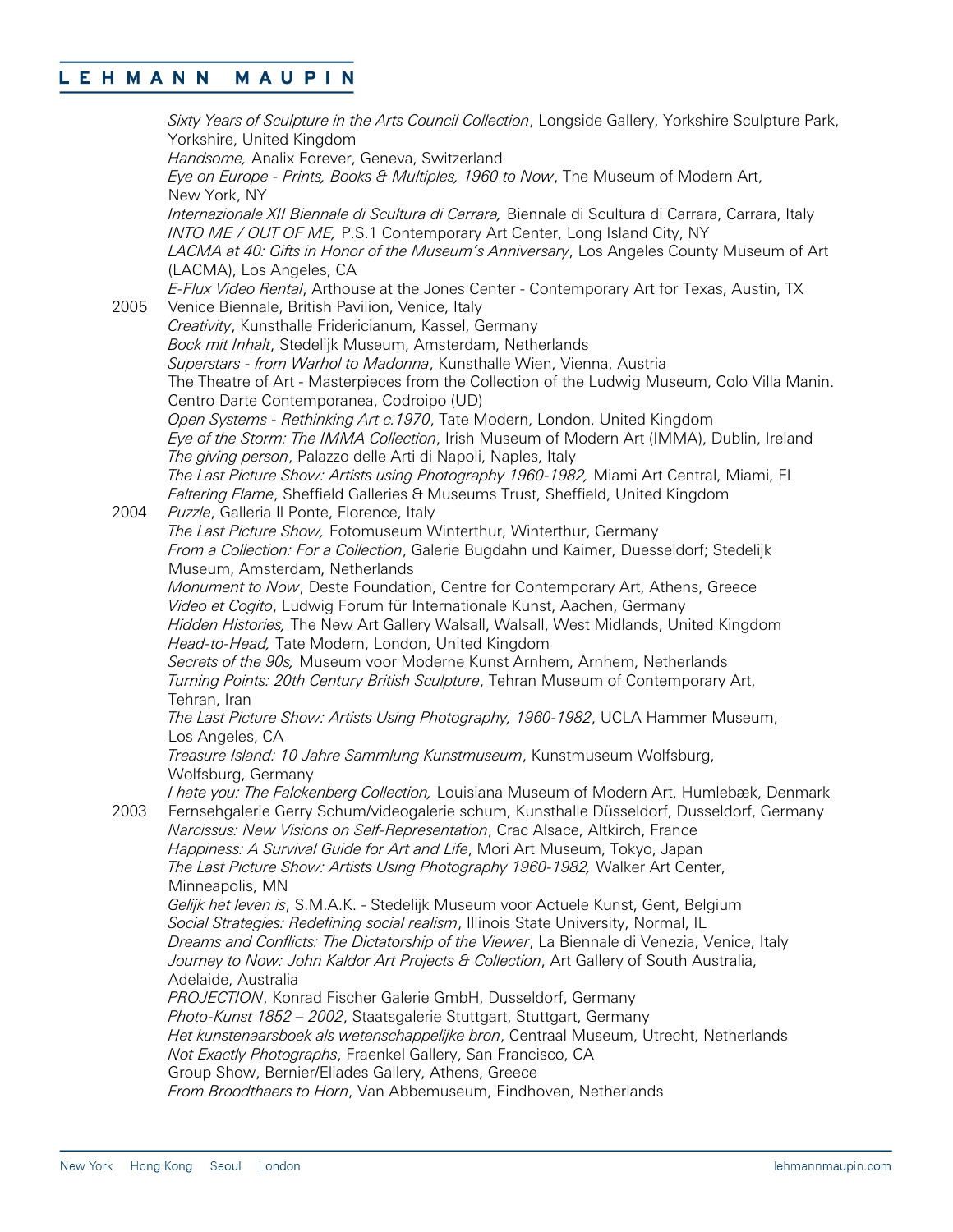*Sixty Years of Sculpture in the Arts Council Collection*, Longside Gallery, Yorkshire Sculpture Park, Yorkshire, United Kingdom *Handsome,* Analix Forever, Geneva, Switzerland *Eye on Europe - Prints, Books & Multiples, 1960 to Now*, The Museum of Modern Art, New York, NY *Internazionale XII Biennale di Scultura di Carrara,* Biennale di Scultura di Carrara, Carrara, Italy *INTO ME / OUT OF ME,* P.S.1 Contemporary Art Center, Long Island City, NY *LACMA at 40: Gifts in Honor of the Museum's Anniversary*, Los Angeles County Museum of Art (LACMA), Los Angeles, CA *E-Flux Video Rental*, Arthouse at the Jones Center - Contemporary Art for Texas, Austin, TX 2005 Venice Biennale, British Pavilion, Venice, Italy *Creativity*, Kunsthalle Fridericianum, Kassel, Germany *Bock mit Inhalt*, Stedelijk Museum, Amsterdam, Netherlands *Superstars - from Warhol to Madonna*, Kunsthalle Wien, Vienna, Austria The Theatre of Art - Masterpieces from the Collection of the Ludwig Museum, Colo Villa Manin. Centro Darte Contemporanea, Codroipo (UD) *Open Systems - Rethinking Art c.1970*, Tate Modern, London, United Kingdom *Eye of the Storm: The IMMA Collection*, Irish Museum of Modern Art (IMMA), Dublin, Ireland *The giving person*, Palazzo delle Arti di Napoli, Naples, Italy *The Last Picture Show: Artists using Photography 1960-1982,* Miami Art Central, Miami, FL *Faltering Flame*, Sheffield Galleries & Museums Trust, Sheffield, United Kingdom 2004 *Puzzle*, Galleria Il Ponte, Florence, Italy *The Last Picture Show,* Fotomuseum Winterthur, Winterthur, Germany *From a Collection: For a Collection*, Galerie Bugdahn und Kaimer, Duesseldorf; Stedelijk Museum, Amsterdam, Netherlands *Monument to Now*, Deste Foundation, Centre for Contemporary Art, Athens, Greece *Video et Cogito*, Ludwig Forum für Internationale Kunst, Aachen, Germany *Hidden Histories,* The New Art Gallery Walsall, Walsall, West Midlands, United Kingdom *Head-to-Head,* Tate Modern, London, United Kingdom *Secrets of the 90s,* Museum voor Moderne Kunst Arnhem, Arnhem, Netherlands *Turning Points: 20th Century British Sculpture*, Tehran Museum of Contemporary Art, Tehran, Iran *The Last Picture Show: Artists Using Photography, 1960-1982*, UCLA Hammer Museum, Los Angeles, CA *Treasure Island: 10 Jahre Sammlung Kunstmuseum*, Kunstmuseum Wolfsburg, Wolfsburg, Germany *I hate you: The Falckenberg Collection,* Louisiana Museum of Modern Art, Humlebæk, Denmark 2003 Fernsehgalerie Gerry Schum/videogalerie schum, Kunsthalle Düsseldorf, Dusseldorf, Germany *Narcissus: New Visions on Self-Representation*, Crac Alsace, Altkirch, France *Happiness: A Survival Guide for Art and Life*, Mori Art Museum, Tokyo, Japan *The Last Picture Show: Artists Using Photography 1960-1982,* Walker Art Center, Minneapolis, MN *Gelijk het leven is*, S.M.A.K. - Stedelijk Museum voor Actuele Kunst, Gent, Belgium *Social Strategies: Redefining social realism*, Illinois State University, Normal, IL *Dreams and Conflicts: The Dictatorship of the Viewer*, La Biennale di Venezia, Venice, Italy *Journey to Now: John Kaldor Art Projects & Collection*, Art Gallery of South Australia, Adelaide, Australia *PROJECTION*, Konrad Fischer Galerie GmbH, Dusseldorf, Germany *Photo-Kunst 1852 – 2002*, Staatsgalerie Stuttgart, Stuttgart, Germany *Het kunstenaarsboek als wetenschappelijke bron*, Centraal Museum, Utrecht, Netherlands *Not Exactly Photographs*, Fraenkel Gallery, San Francisco, CA Group Show, Bernier/Eliades Gallery, Athens, Greece *From Broodthaers to Horn*, Van Abbemuseum, Eindhoven, Netherlands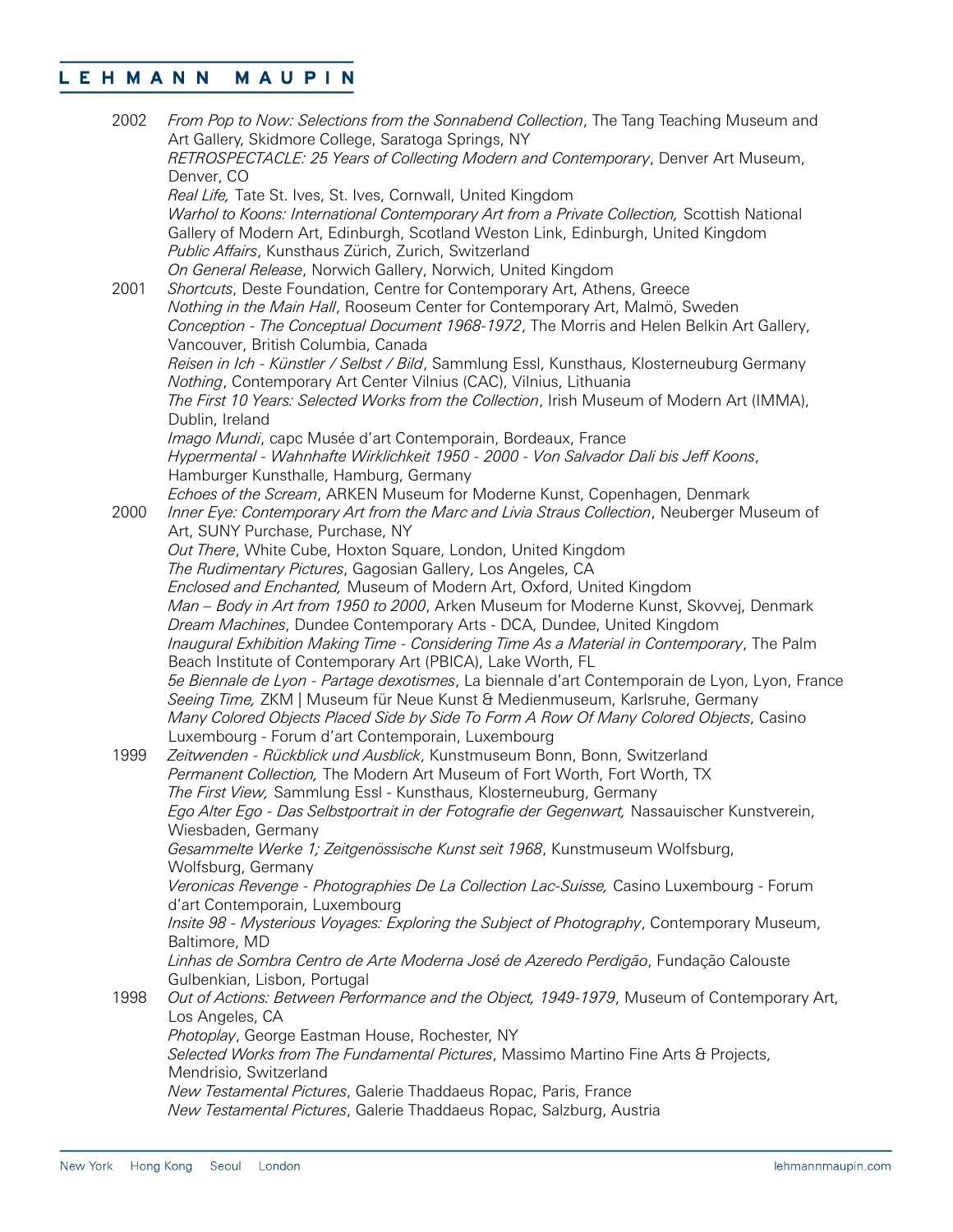| 2002 | From Pop to Now: Selections from the Sonnabend Collection, The Tang Teaching Museum and<br>Art Gallery, Skidmore College, Saratoga Springs, NY<br>RETROSPECTACLE: 25 Years of Collecting Modern and Contemporary, Denver Art Museum,<br>Denver, CO |
|------|----------------------------------------------------------------------------------------------------------------------------------------------------------------------------------------------------------------------------------------------------|
|      | Real Life, Tate St. Ives, St. Ives, Cornwall, United Kingdom                                                                                                                                                                                       |
|      | Warhol to Koons: International Contemporary Art from a Private Collection, Scottish National<br>Gallery of Modern Art, Edinburgh, Scotland Weston Link, Edinburgh, United Kingdom<br>Public Affairs, Kunsthaus Zürich, Zurich, Switzerland         |
|      | On General Release, Norwich Gallery, Norwich, United Kingdom                                                                                                                                                                                       |
| 2001 | Shortcuts, Deste Foundation, Centre for Contemporary Art, Athens, Greece                                                                                                                                                                           |
|      | Nothing in the Main Hall, Rooseum Center for Contemporary Art, Malmö, Sweden                                                                                                                                                                       |
|      | Conception - The Conceptual Document 1968-1972, The Morris and Helen Belkin Art Gallery,                                                                                                                                                           |
|      | Vancouver, British Columbia, Canada<br>Reisen in Ich - Künstler / Selbst / Bild, Sammlung Essl, Kunsthaus, Klosterneuburg Germany                                                                                                                  |
|      | Nothing, Contemporary Art Center Vilnius (CAC), Vilnius, Lithuania                                                                                                                                                                                 |
|      | The First 10 Years: Selected Works from the Collection, Irish Museum of Modern Art (IMMA),                                                                                                                                                         |
|      | Dublin, Ireland                                                                                                                                                                                                                                    |
|      | Imago Mundi, capc Musée d'art Contemporain, Bordeaux, France                                                                                                                                                                                       |
|      | Hypermental - Wahnhafte Wirklichkeit 1950 - 2000 - Von Salvador Dali bis Jeff Koons,                                                                                                                                                               |
|      | Hamburger Kunsthalle, Hamburg, Germany                                                                                                                                                                                                             |
| 2000 | Echoes of the Scream, ARKEN Museum for Moderne Kunst, Copenhagen, Denmark<br>Inner Eye: Contemporary Art from the Marc and Livia Straus Collection, Neuberger Museum of                                                                            |
|      | Art, SUNY Purchase, Purchase, NY                                                                                                                                                                                                                   |
|      | Out There, White Cube, Hoxton Square, London, United Kingdom                                                                                                                                                                                       |
|      | The Rudimentary Pictures, Gagosian Gallery, Los Angeles, CA                                                                                                                                                                                        |
|      | Enclosed and Enchanted, Museum of Modern Art, Oxford, United Kingdom                                                                                                                                                                               |
|      | Man - Body in Art from 1950 to 2000, Arken Museum for Moderne Kunst, Skovvej, Denmark                                                                                                                                                              |
|      | Dream Machines, Dundee Contemporary Arts - DCA, Dundee, United Kingdom                                                                                                                                                                             |
|      | Inaugural Exhibition Making Time - Considering Time As a Material in Contemporary, The Palm<br>Beach Institute of Contemporary Art (PBICA), Lake Worth, FL                                                                                         |
|      | 5e Biennale de Lyon - Partage dexotismes, La biennale d'art Contemporain de Lyon, Lyon, France<br>Seeing Time, ZKM   Museum für Neue Kunst & Medienmuseum, Karlsruhe, Germany                                                                      |
|      | Many Colored Objects Placed Side by Side To Form A Row Of Many Colored Objects, Casino                                                                                                                                                             |
|      | Luxembourg - Forum d'art Contemporain, Luxembourg                                                                                                                                                                                                  |
| 1999 | Zeitwenden - Rückblick und Ausblick, Kunstmuseum Bonn, Bonn, Switzerland                                                                                                                                                                           |
|      | Permanent Collection, The Modern Art Museum of Fort Worth, Fort Worth, TX                                                                                                                                                                          |
|      | The First View, Sammlung Essl - Kunsthaus, Klosterneuburg, Germany                                                                                                                                                                                 |
|      | Ego Alter Ego - Das Selbstportrait in der Fotografie der Gegenwart, Nassauischer Kunstverein,                                                                                                                                                      |
|      | Wiesbaden, Germany<br>Gesammelte Werke 1; Zeitgenössische Kunst seit 1968, Kunstmuseum Wolfsburg,                                                                                                                                                  |
|      | Wolfsburg, Germany                                                                                                                                                                                                                                 |
|      | Veronicas Revenge - Photographies De La Collection Lac-Suisse, Casino Luxembourg - Forum                                                                                                                                                           |
|      | d'art Contemporain, Luxembourg                                                                                                                                                                                                                     |
|      | Insite 98 - Mysterious Voyages: Exploring the Subject of Photography, Contemporary Museum,<br>Baltimore, MD                                                                                                                                        |
|      | Linhas de Sombra Centro de Arte Moderna José de Azeredo Perdigão, Fundação Calouste                                                                                                                                                                |
|      | Gulbenkian, Lisbon, Portugal<br>Out of Actions: Between Performance and the Object, 1949-1979, Museum of Contemporary Art,                                                                                                                         |
| 1998 | Los Angeles, CA                                                                                                                                                                                                                                    |
|      | Photoplay, George Eastman House, Rochester, NY                                                                                                                                                                                                     |
|      | Selected Works from The Fundamental Pictures, Massimo Martino Fine Arts & Projects,                                                                                                                                                                |
|      | Mendrisio, Switzerland                                                                                                                                                                                                                             |
|      | New Testamental Pictures, Galerie Thaddaeus Ropac, Paris, France                                                                                                                                                                                   |
|      | New Testamental Pictures, Galerie Thaddaeus Ropac, Salzburg, Austria                                                                                                                                                                               |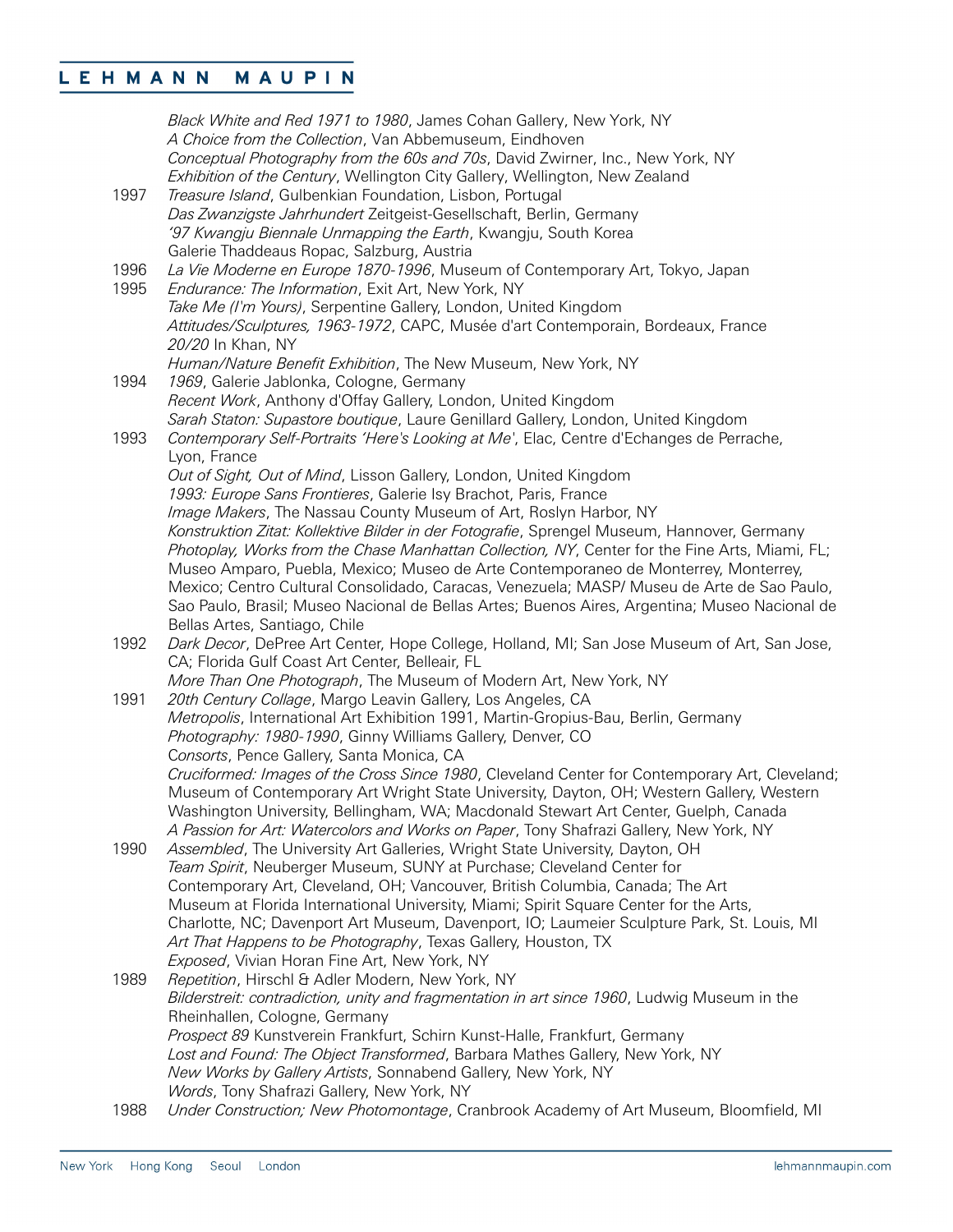|      | Black White and Red 1971 to 1980, James Cohan Gallery, New York, NY<br>A Choice from the Collection, Van Abbemuseum, Eindhoven                                |
|------|---------------------------------------------------------------------------------------------------------------------------------------------------------------|
|      | Conceptual Photography from the 60s and 70s, David Zwirner, Inc., New York, NY<br>Exhibition of the Century, Wellington City Gallery, Wellington, New Zealand |
| 1997 | Treasure Island, Gulbenkian Foundation, Lisbon, Portugal                                                                                                      |
|      | Das Zwanzigste Jahrhundert Zeitgeist-Gesellschaft, Berlin, Germany                                                                                            |
|      | '97 Kwangju Biennale Unmapping the Earth, Kwangju, South Korea                                                                                                |
|      | Galerie Thaddeaus Ropac, Salzburg, Austria                                                                                                                    |
| 1996 | La Vie Moderne en Europe 1870-1996, Museum of Contemporary Art, Tokyo, Japan                                                                                  |
| 1995 | Endurance: The Information, Exit Art, New York, NY                                                                                                            |
|      | Take Me (I'm Yours), Serpentine Gallery, London, United Kingdom                                                                                               |
|      | Attitudes/Sculptures, 1963-1972, CAPC, Musée d'art Contemporain, Bordeaux, France                                                                             |
|      | 20/20 In Khan, NY                                                                                                                                             |
|      | Human/Nature Benefit Exhibition, The New Museum, New York, NY                                                                                                 |
| 1994 | 1969, Galerie Jablonka, Cologne, Germany<br>Recent Work, Anthony d'Offay Gallery, London, United Kingdom                                                      |
|      | Sarah Staton: Supastore boutique, Laure Genillard Gallery, London, United Kingdom                                                                             |
| 1993 | Contemporary Self-Portraits 'Here's Looking at Me', Elac, Centre d'Echanges de Perrache,                                                                      |
|      | Lyon, France                                                                                                                                                  |
|      | Out of Sight, Out of Mind, Lisson Gallery, London, United Kingdom                                                                                             |
|      | 1993: Europe Sans Frontieres, Galerie Isy Brachot, Paris, France                                                                                              |
|      | Image Makers, The Nassau County Museum of Art, Roslyn Harbor, NY                                                                                              |
|      | Konstruktion Zitat: Kollektive Bilder in der Fotografie, Sprengel Museum, Hannover, Germany                                                                   |
|      | Photoplay, Works from the Chase Manhattan Collection, NY, Center for the Fine Arts, Miami, FL;                                                                |
|      | Museo Amparo, Puebla, Mexico; Museo de Arte Contemporaneo de Monterrey, Monterrey,                                                                            |
|      | Mexico; Centro Cultural Consolidado, Caracas, Venezuela; MASP/ Museu de Arte de Sao Paulo,                                                                    |
|      | Sao Paulo, Brasil; Museo Nacional de Bellas Artes; Buenos Aires, Argentina; Museo Nacional de                                                                 |
|      | Bellas Artes, Santiago, Chile                                                                                                                                 |
| 1992 | Dark Decor, DePree Art Center, Hope College, Holland, MI; San Jose Museum of Art, San Jose,                                                                   |
|      | CA; Florida Gulf Coast Art Center, Belleair, FL<br>More Than One Photograph, The Museum of Modern Art, New York, NY                                           |
| 1991 | 20th Century Collage, Margo Leavin Gallery, Los Angeles, CA                                                                                                   |
|      | Metropolis, International Art Exhibition 1991, Martin-Gropius-Bau, Berlin, Germany                                                                            |
|      | Photography: 1980-1990, Ginny Williams Gallery, Denver, CO                                                                                                    |
|      | Consorts, Pence Gallery, Santa Monica, CA                                                                                                                     |
|      | Cruciformed: Images of the Cross Since 1980, Cleveland Center for Contemporary Art, Cleveland;                                                                |
|      | Museum of Contemporary Art Wright State University, Dayton, OH; Western Gallery, Western                                                                      |
|      | Washington University, Bellingham, WA; Macdonald Stewart Art Center, Guelph, Canada                                                                           |
|      | A Passion for Art: Watercolors and Works on Paper, Tony Shafrazi Gallery, New York, NY                                                                        |
| 1990 | Assembled, The University Art Galleries, Wright State University, Dayton, OH                                                                                  |
|      | Team Spirit, Neuberger Museum, SUNY at Purchase; Cleveland Center for                                                                                         |
|      | Contemporary Art, Cleveland, OH; Vancouver, British Columbia, Canada; The Art                                                                                 |
|      | Museum at Florida International University, Miami; Spirit Square Center for the Arts,                                                                         |
|      | Charlotte, NC; Davenport Art Museum, Davenport, IO; Laumeier Sculpture Park, St. Louis, MI                                                                    |
|      | Art That Happens to be Photography, Texas Gallery, Houston, TX<br>Exposed, Vivian Horan Fine Art, New York, NY                                                |
| 1989 | Repetition, Hirschl & Adler Modern, New York, NY                                                                                                              |
|      | Bilderstreit: contradiction, unity and fragmentation in art since 1960, Ludwig Museum in the                                                                  |
|      | Rheinhallen, Cologne, Germany                                                                                                                                 |
|      | Prospect 89 Kunstverein Frankfurt, Schirn Kunst-Halle, Frankfurt, Germany                                                                                     |
|      | Lost and Found: The Object Transformed, Barbara Mathes Gallery, New York, NY                                                                                  |
|      | New Works by Gallery Artists, Sonnabend Gallery, New York, NY                                                                                                 |
|      | Words, Tony Shafrazi Gallery, New York, NY                                                                                                                    |
| 1988 | Under Construction; New Photomontage, Cranbrook Academy of Art Museum, Bloomfield, MI                                                                         |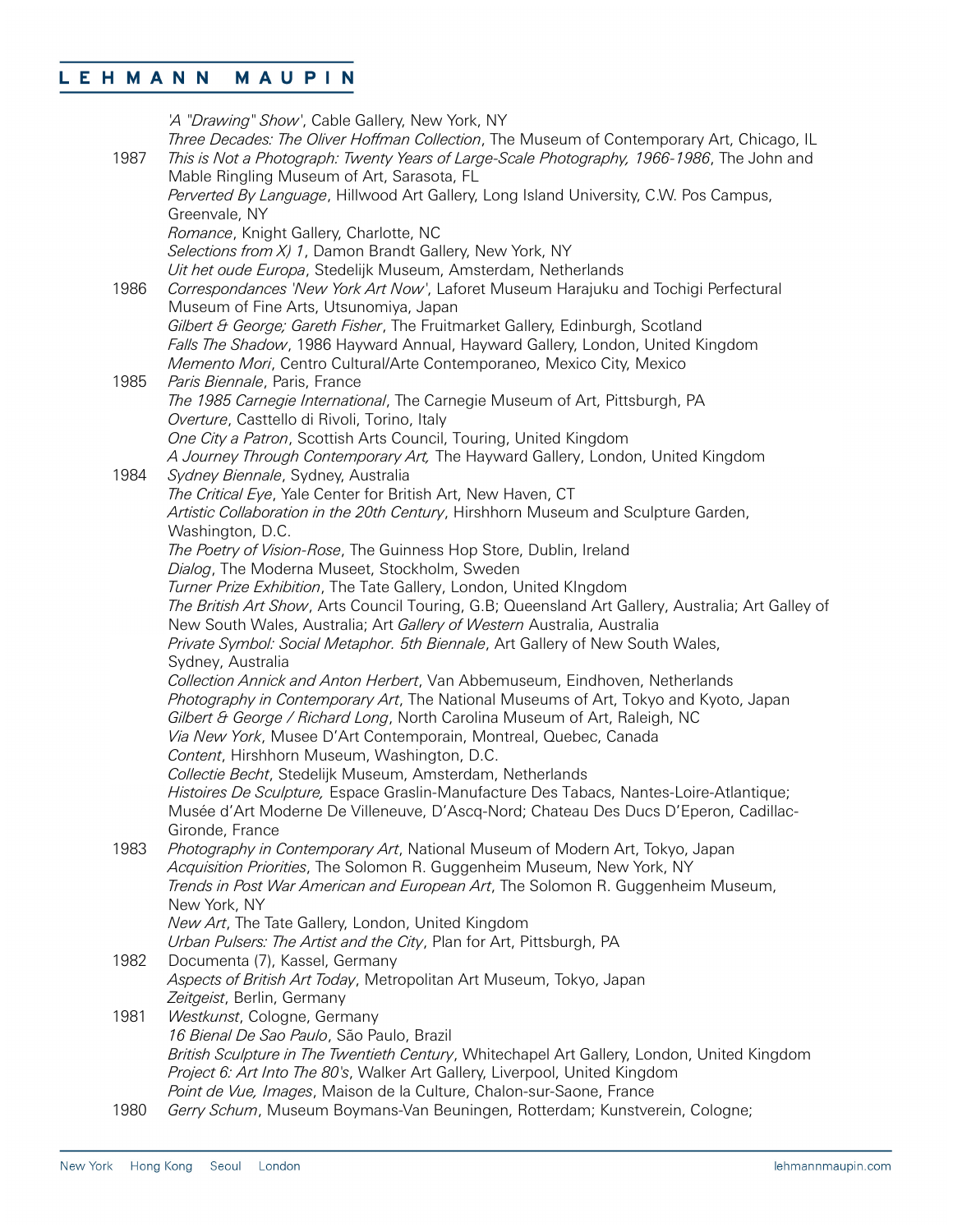*'A "Drawing" Show'*, Cable Gallery, New York, NY *Three Decades: The Oliver Hoffman Collection*, The Museum of Contemporary Art, Chicago, IL 1987 *This is Not a Photograph: Twenty Years of Large-Scale Photography, 1966-1986*, The John and Mable Ringling Museum of Art, Sarasota, FL *Perverted By Language*, Hillwood Art Gallery, Long Island University, C.W. Pos Campus, Greenvale, NY *Romance*, Knight Gallery, Charlotte, NC *Selections from X) 1*, Damon Brandt Gallery, New York, NY *Uit het oude Europa*, Stedelijk Museum, Amsterdam, Netherlands 1986 *Correspondances 'New York Art Now'*, Laforet Museum Harajuku and Tochigi Perfectural Museum of Fine Arts, Utsunomiya, Japan *Gilbert & George; Gareth Fisher*, The Fruitmarket Gallery, Edinburgh, Scotland *Falls The Shadow*, 1986 Hayward Annual, Hayward Gallery, London, United Kingdom *Memento Mori*, Centro Cultural/Arte Contemporaneo, Mexico City, Mexico 1985 *Paris Biennale*, Paris, France *The 1985 Carnegie International*, The Carnegie Museum of Art, Pittsburgh, PA *Overture*, Casttello di Rivoli, Torino, Italy *One City a Patron*, Scottish Arts Council, Touring, United Kingdom *A Journey Through Contemporary Art,* The Hayward Gallery, London, United Kingdom 1984 *Sydney Biennale*, Sydney, Australia *The Critical Eye*, Yale Center for British Art, New Haven, CT *Artistic Collaboration in the 20th Century*, Hirshhorn Museum and Sculpture Garden, Washington, D.C. *The Poetry of Vision-Rose*, The Guinness Hop Store, Dublin, Ireland *Dialog*, The Moderna Museet, Stockholm, Sweden *Turner Prize Exhibition*, The Tate Gallery, London, United KIngdom *The British Art Show*, Arts Council Touring, G.B; Queensland Art Gallery, Australia; Art Galley of New South Wales, Australia; Art *Gallery of Western* Australia, Australia *Private Symbol: Social Metaphor. 5th Biennale*, Art Gallery of New South Wales, Sydney, Australia *Collection Annick and Anton Herbert*, Van Abbemuseum, Eindhoven, Netherlands *Photography in Contemporary Art*, The National Museums of Art, Tokyo and Kyoto, Japan *Gilbert & George / Richard Long*, North Carolina Museum of Art, Raleigh, NC *Via New York*, Musee D'Art Contemporain, Montreal, Quebec, Canada *Content*, Hirshhorn Museum, Washington, D.C. *Collectie Becht*, Stedelijk Museum, Amsterdam, Netherlands *Histoires De Sculpture,* Espace Graslin-Manufacture Des Tabacs, Nantes-Loire-Atlantique; Musée d'Art Moderne De Villeneuve, D'Ascq-Nord; Chateau Des Ducs D'Eperon, Cadillac-Gironde, France 1983 *Photography in Contemporary Art*, National Museum of Modern Art, Tokyo, Japan *Acquisition Priorities*, The Solomon R. Guggenheim Museum, New York, NY *Trends in Post War American and European Art*, The Solomon R. Guggenheim Museum, New York, NY *New Art*, The Tate Gallery, London, United Kingdom *Urban Pulsers: The Artist and the City*, Plan for Art, Pittsburgh, PA 1982 Documenta (7), Kassel, Germany *Aspects of British Art Today*, Metropolitan Art Museum, Tokyo, Japan *Zeitgeist*, Berlin, Germany 1981 *Westkunst*, Cologne, Germany *16 Bienal De Sao Paulo*, São Paulo, Brazil *British Sculpture in The Twentieth Century*, Whitechapel Art Gallery, London, United Kingdom *Project 6: Art Into The 80's*, Walker Art Gallery, Liverpool, United Kingdom *Point de Vue, Images*, Maison de la Culture, Chalon-sur-Saone, France 1980 *Gerry Schum*, Museum Boymans-Van Beuningen, Rotterdam; Kunstverein, Cologne;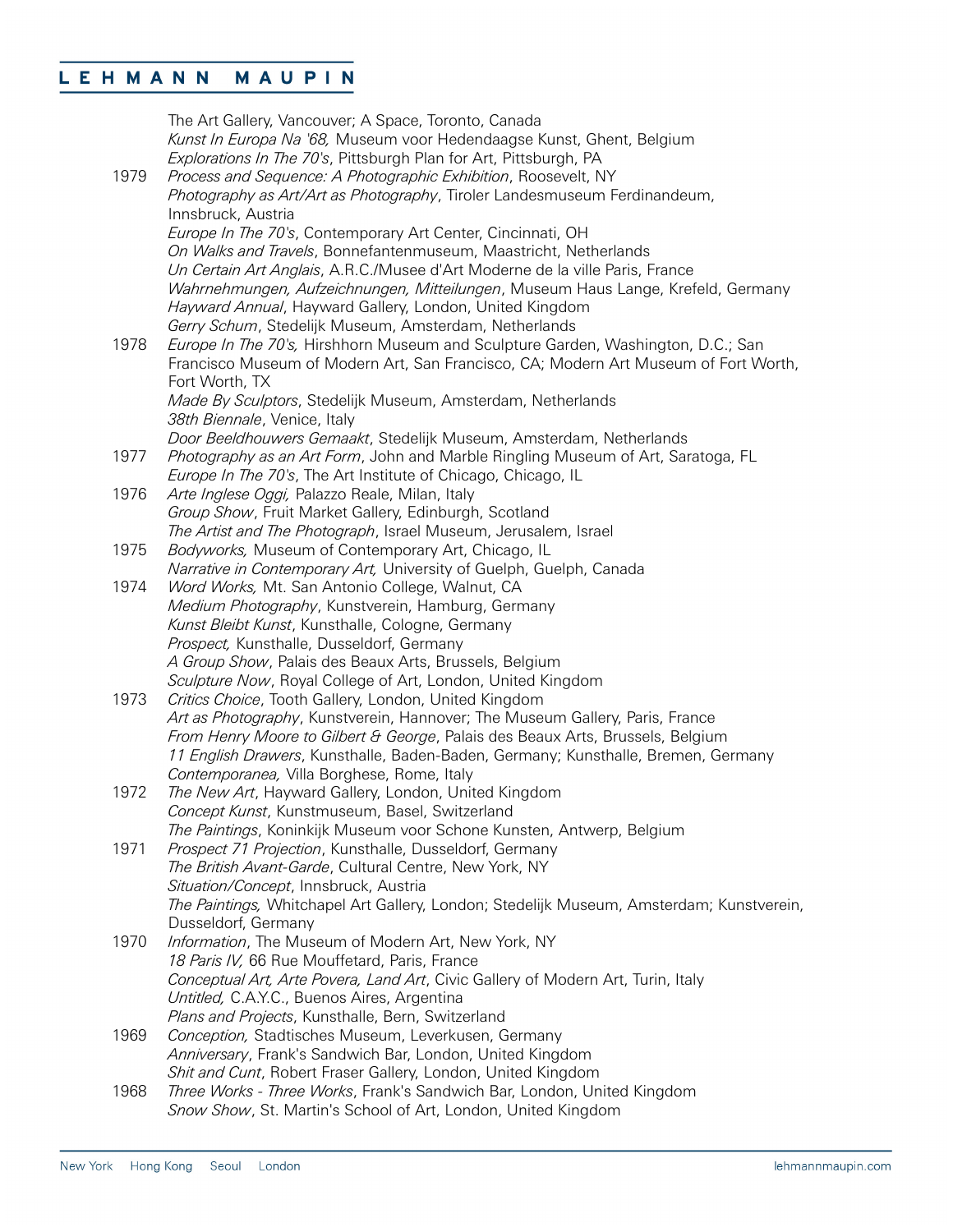| 1979 | The Art Gallery, Vancouver; A Space, Toronto, Canada<br>Kunst In Europa Na '68, Museum voor Hedendaagse Kunst, Ghent, Belgium<br>Explorations In The 70's, Pittsburgh Plan for Art, Pittsburgh, PA<br>Process and Sequence: A Photographic Exhibition, Roosevelt, NY |
|------|----------------------------------------------------------------------------------------------------------------------------------------------------------------------------------------------------------------------------------------------------------------------|
|      | Photography as Art/Art as Photography, Tiroler Landesmuseum Ferdinandeum,<br>Innsbruck, Austria                                                                                                                                                                      |
|      | Europe In The 70's, Contemporary Art Center, Cincinnati, OH                                                                                                                                                                                                          |
|      | On Walks and Travels, Bonnefantenmuseum, Maastricht, Netherlands<br>Un Certain Art Anglais, A.R.C./Musee d'Art Moderne de la ville Paris, France                                                                                                                     |
|      | Wahrnehmungen, Aufzeichnungen, Mitteilungen, Museum Haus Lange, Krefeld, Germany                                                                                                                                                                                     |
|      | Hayward Annual, Hayward Gallery, London, United Kingdom<br>Gerry Schum, Stedelijk Museum, Amsterdam, Netherlands                                                                                                                                                     |
| 1978 | Europe In The 70's, Hirshhorn Museum and Sculpture Garden, Washington, D.C.; San                                                                                                                                                                                     |
|      | Francisco Museum of Modern Art, San Francisco, CA; Modern Art Museum of Fort Worth,<br>Fort Worth, TX                                                                                                                                                                |
|      | Made By Sculptors, Stedelijk Museum, Amsterdam, Netherlands<br>38th Biennale, Venice, Italy                                                                                                                                                                          |
|      | Door Beeldhouwers Gemaakt, Stedelijk Museum, Amsterdam, Netherlands                                                                                                                                                                                                  |
| 1977 | Photography as an Art Form, John and Marble Ringling Museum of Art, Saratoga, FL<br>Europe In The 70's, The Art Institute of Chicago, Chicago, IL                                                                                                                    |
| 1976 | Arte Inglese Oggi, Palazzo Reale, Milan, Italy                                                                                                                                                                                                                       |
|      | Group Show, Fruit Market Gallery, Edinburgh, Scotland                                                                                                                                                                                                                |
|      | The Artist and The Photograph, Israel Museum, Jerusalem, Israel                                                                                                                                                                                                      |
| 1975 | Bodyworks, Museum of Contemporary Art, Chicago, IL                                                                                                                                                                                                                   |
|      | Narrative in Contemporary Art, University of Guelph, Guelph, Canada                                                                                                                                                                                                  |
| 1974 | Word Works, Mt. San Antonio College, Walnut, CA<br>Medium Photography, Kunstverein, Hamburg, Germany                                                                                                                                                                 |
|      | Kunst Bleibt Kunst, Kunsthalle, Cologne, Germany                                                                                                                                                                                                                     |
|      | Prospect, Kunsthalle, Dusseldorf, Germany                                                                                                                                                                                                                            |
|      | A Group Show, Palais des Beaux Arts, Brussels, Belgium                                                                                                                                                                                                               |
|      | Sculpture Now, Royal College of Art, London, United Kingdom                                                                                                                                                                                                          |
| 1973 | Critics Choice, Tooth Gallery, London, United Kingdom                                                                                                                                                                                                                |
|      | Art as Photography, Kunstverein, Hannover; The Museum Gallery, Paris, France                                                                                                                                                                                         |
|      | From Henry Moore to Gilbert & George, Palais des Beaux Arts, Brussels, Belgium                                                                                                                                                                                       |
|      | 11 English Drawers, Kunsthalle, Baden-Baden, Germany; Kunsthalle, Bremen, Germany                                                                                                                                                                                    |
| 1972 | Contemporanea, Villa Borghese, Rome, Italy                                                                                                                                                                                                                           |
|      | The New Art, Hayward Gallery, London, United Kingdom<br>Concept Kunst, Kunstmuseum, Basel, Switzerland                                                                                                                                                               |
|      | The Paintings, Koninkijk Museum voor Schone Kunsten, Antwerp, Belgium                                                                                                                                                                                                |
| 1971 | Prospect 71 Projection, Kunsthalle, Dusseldorf, Germany                                                                                                                                                                                                              |
|      | The British Avant-Garde, Cultural Centre, New York, NY                                                                                                                                                                                                               |
|      | Situation/Concept, Innsbruck, Austria                                                                                                                                                                                                                                |
|      | The Paintings, Whitchapel Art Gallery, London; Stedelijk Museum, Amsterdam; Kunstverein,                                                                                                                                                                             |
|      | Dusseldorf, Germany                                                                                                                                                                                                                                                  |
| 1970 | Information, The Museum of Modern Art, New York, NY                                                                                                                                                                                                                  |
|      | 18 Paris IV, 66 Rue Mouffetard, Paris, France                                                                                                                                                                                                                        |
|      | Conceptual Art, Arte Povera, Land Art, Civic Gallery of Modern Art, Turin, Italy                                                                                                                                                                                     |
|      | Untitled, C.A.Y.C., Buenos Aires, Argentina<br>Plans and Projects, Kunsthalle, Bern, Switzerland                                                                                                                                                                     |
| 1969 | Conception, Stadtisches Museum, Leverkusen, Germany                                                                                                                                                                                                                  |
|      | Anniversary, Frank's Sandwich Bar, London, United Kingdom                                                                                                                                                                                                            |
|      | Shit and Cunt, Robert Fraser Gallery, London, United Kingdom                                                                                                                                                                                                         |
| 1968 | Three Works - Three Works, Frank's Sandwich Bar, London, United Kingdom                                                                                                                                                                                              |
|      | Snow Show, St. Martin's School of Art, London, United Kingdom                                                                                                                                                                                                        |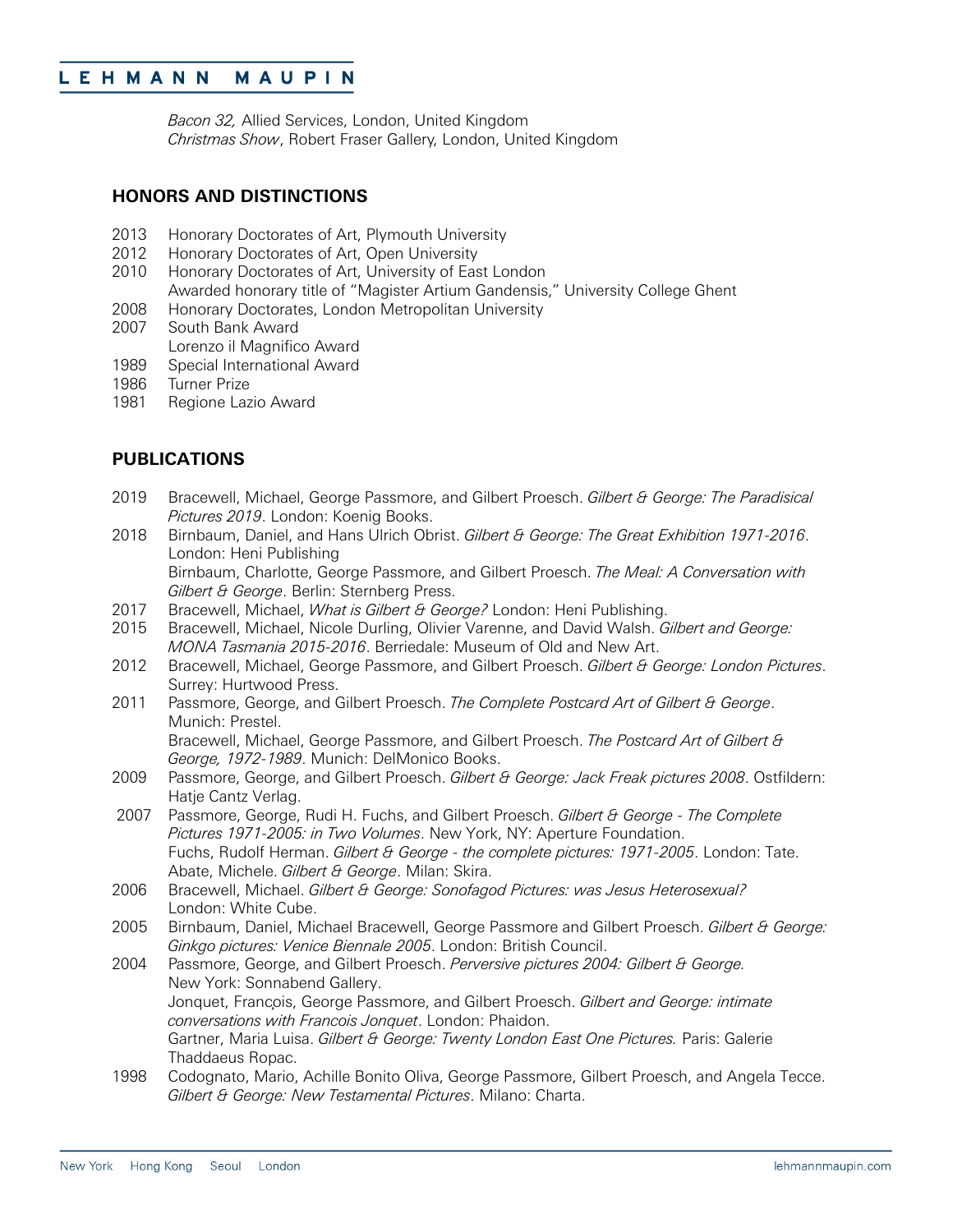*Bacon 32,* Allied Services, London, United Kingdom *Christmas Show*, Robert Fraser Gallery, London, United Kingdom

### **HONORS AND DISTINCTIONS**

- 2013 Honorary Doctorates of Art, Plymouth University
- 2012 Honorary Doctorates of Art, Open University
- 2010 Honorary Doctorates of Art, University of East London Awarded honorary title of "Magister Artium Gandensis," University College Ghent
- 2008 Honorary Doctorates, London Metropolitan University
- 2007 South Bank Award Lorenzo il Magnifico Award
- 1989 Special International Award
- 1986 Turner Prize
- 1981 Regione Lazio Award

### **PUBLICATIONS**

- 2019 Bracewell, Michael, George Passmore, and Gilbert Proesch. *Gilbert & George: The Paradisical Pictures 2019*. London: Koenig Books.
- 2018 Birnbaum, Daniel, and Hans Ulrich Obrist. *Gilbert & George: The Great Exhibition 1971-2016*. London: Heni Publishing Birnbaum, Charlotte, George Passmore, and Gilbert Proesch. *The Meal: A Conversation with Gilbert & George*. Berlin: Sternberg Press.
- 2017 Bracewell, Michael, *What is Gilbert & George?* London: Heni Publishing.
- 2015 Bracewell, Michael, Nicole Durling, Olivier Varenne, and David Walsh. *Gilbert and George: MONA Tasmania 2015-2016*. Berriedale: Museum of Old and New Art.
- 2012 Bracewell, Michael, George Passmore, and Gilbert Proesch. *Gilbert & George: London Pictures*. Surrey: Hurtwood Press.
- 2011 Passmore, George, and Gilbert Proesch. *The Complete Postcard Art of Gilbert & George*. Munich: Prestel.

Bracewell, Michael, George Passmore, and Gilbert Proesch. *The Postcard Art of Gilbert & George, 1972-1989*. Munich: DelMonico Books.

- 2009 Passmore, George, and Gilbert Proesch. *Gilbert & George: Jack Freak pictures 2008*. Ostfildern: Hatje Cantz Verlag.
- 2007 Passmore, George, Rudi H. Fuchs, and Gilbert Proesch. *Gilbert & George - The Complete Pictures 1971-2005: in Two Volumes*. New York, NY: Aperture Foundation. Fuchs, Rudolf Herman. *Gilbert & George - the complete pictures: 1971-2005*. London: Tate. Abate, Michele. *Gilbert & George*. Milan: Skira.
- 2006 Bracewell, Michael. *Gilbert & George: Sonofagod Pictures: was Jesus Heterosexual?* London: White Cube.
- 2005 Birnbaum, Daniel, Michael Bracewell, George Passmore and Gilbert Proesch. *Gilbert & George: Ginkgo pictures: Venice Biennale 2005*. London: British Council.
- 2004 Passmore, George, and Gilbert Proesch. *Perversive pictures 2004: Gilbert & George.* New York: Sonnabend Gallery. Jonquet, François, George Passmore, and Gilbert Proesch. *Gilbert and George: intimate conversations with Francois Jonquet*. London: Phaidon. Gartner, Maria Luisa. *Gilbert & George: Twenty London East One Pictures.* Paris: Galerie Thaddaeus Ropac.
- 1998 Codognato, Mario, Achille Bonito Oliva, George Passmore, Gilbert Proesch, and Angela Tecce. *Gilbert & George: New Testamental Pictures*. Milano: Charta.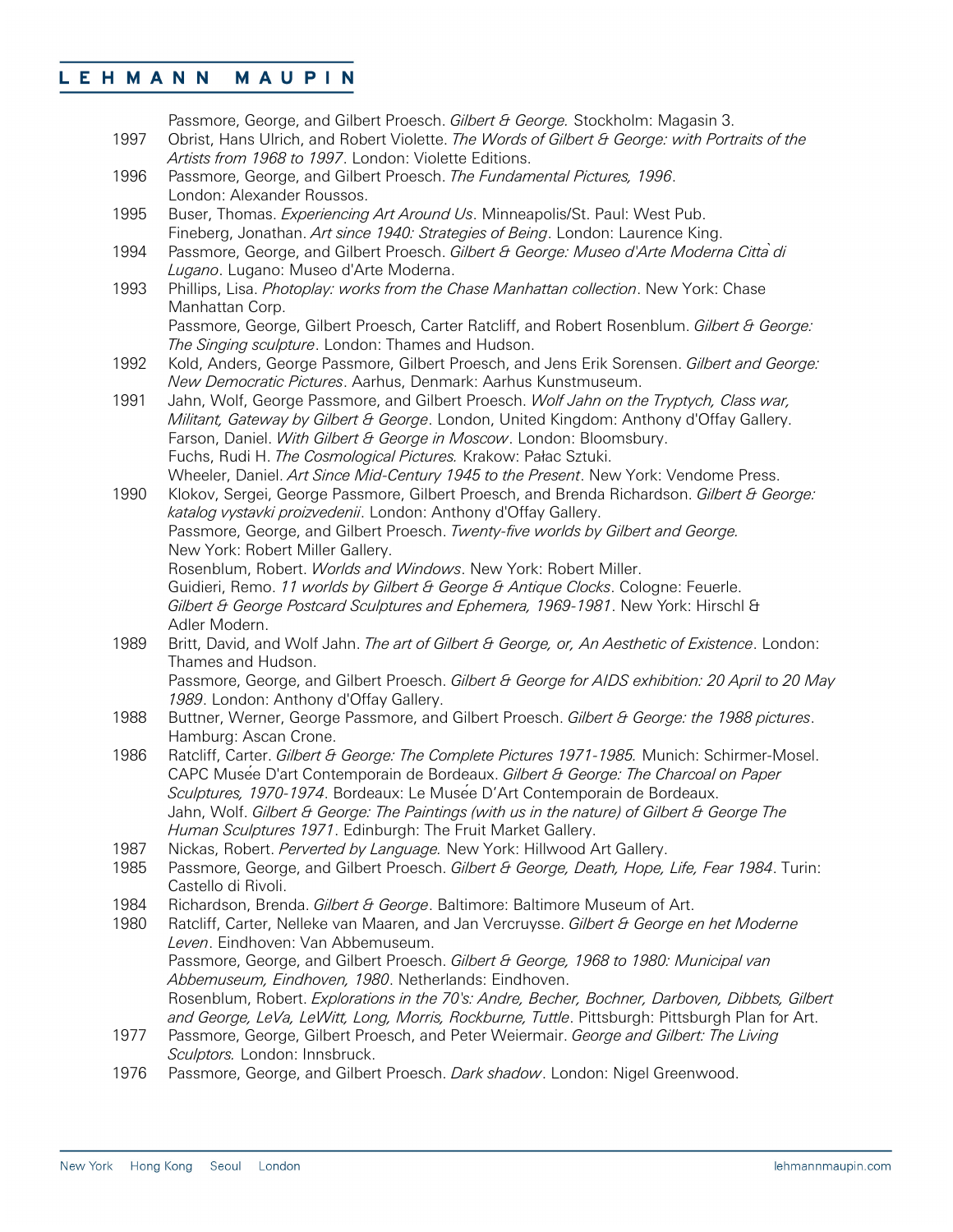Passmore, George, and Gilbert Proesch. *Gilbert & George.* Stockholm: Magasin 3.

- 1997 Obrist, Hans Ulrich, and Robert Violette. *The Words of Gilbert & George: with Portraits of the Artists from 1968 to 1997*. London: Violette Editions.
- 1996 Passmore, George, and Gilbert Proesch. *The Fundamental Pictures, 1996*. London: Alexander Roussos.
- 1995 Buser, Thomas. *Experiencing Art Around Us*. Minneapolis/St. Paul: West Pub. Fineberg, Jonathan. *Art since 1940: Strategies of Being*. London: Laurence King.
- 1994 Passmore, George, and Gilbert Proesch. *Gilbert & George: Museo d'Arte Moderna Cittàdi Lugano*. Lugano: Museo d'Arte Moderna.
- 1993 Phillips, Lisa. *Photoplay: works from the Chase Manhattan collection*. New York: Chase Manhattan Corp.

Passmore, George, Gilbert Proesch, Carter Ratcliff, and Robert Rosenblum. *Gilbert & George: The Singing sculpture*. London: Thames and Hudson.

- 1992 Kold, Anders, George Passmore, Gilbert Proesch, and Jens Erik Sorensen. *Gilbert and George: New Democratic Pictures*. Aarhus, Denmark: Aarhus Kunstmuseum.
- 1991 Jahn, Wolf, George Passmore, and Gilbert Proesch. *Wolf Jahn on the Tryptych, Class war, Militant, Gateway by Gilbert & George*. London, United Kingdom: Anthony d'Offay Gallery. Farson, Daniel. *With Gilbert & George in Moscow*. London: Bloomsbury. Fuchs, Rudi H. *The Cosmological Pictures.* Krakow: Pałac Sztuki. Wheeler, Daniel. *Art Since Mid-Century 1945 to the Present*. New York: Vendome Press.

1990 Klokov, Sergei, George Passmore, Gilbert Proesch, and Brenda Richardson. *Gilbert & George: katalog vystavki proizvedenii*. London: Anthony d'Offay Gallery. Passmore, George, and Gilbert Proesch. *Twenty-five worlds by Gilbert and George.* New York: Robert Miller Gallery. Rosenblum, Robert. *Worlds and Windows*. New York: Robert Miller. Guidieri, Remo. *11 worlds by Gilbert & George & Antique Clocks*. Cologne: Feuerle. *Gilbert & George Postcard Sculptures and Ephemera, 1969-1981*. New York: Hirschl &

- Adler Modern. 1989 Britt, David, and Wolf Jahn. *The art of Gilbert & George, or, An Aesthetic of Existence*. London: Thames and Hudson. Passmore, George, and Gilbert Proesch. *Gilbert & George for AIDS exhibition: 20 April to 20 May*
- *1989*. London: Anthony d'Offay Gallery. 1988 Buttner, Werner, George Passmore, and Gilbert Proesch. *Gilbert & George: the 1988 pictures*. Hamburg: Ascan Crone.
- 1986 Ratcliff, Carter. *Gilbert & George: The Complete Pictures 1971-1985.* Munich: Schirmer-Mosel. CAPC Musée D'art Contemporain de Bordeaux. *Gilbert & George: The Charcoal on Paper Sculptures, 1970-1974*. Bordeaux: Le Musée D'Art Contemporain de Bordeaux. Jahn, Wolf. *Gilbert & George: The Paintings (with us in the nature) of Gilbert & George The Human Sculptures 1971*. Edinburgh: The Fruit Market Gallery.
- 1987 Nickas, Robert. *Perverted by Language.* New York: Hillwood Art Gallery.
- 1985 Passmore, George, and Gilbert Proesch. *Gilbert & George, Death, Hope, Life, Fear 1984*. Turin: Castello di Rivoli.
- 1984 Richardson, Brenda. *Gilbert & George*. Baltimore: Baltimore Museum of Art.<br>1980 Ratcliff. Carter. Nelleke van Maaren, and Jan Vercruysse. *Gilbert & George en*
- 1980 Ratcliff, Carter, Nelleke van Maaren, and Jan Vercruysse. *Gilbert & George en het Moderne Leven*. Eindhoven: Van Abbemuseum. Passmore, George, and Gilbert Proesch. *Gilbert & George, 1968 to 1980: Municipal van Abbemuseum, Eindhoven, 1980*. Netherlands: Eindhoven. Rosenblum, Robert. *Explorations in the 70's: Andre, Becher, Bochner, Darboven, Dibbets, Gilbert*  and George, LeVa, LeWitt, Long, Morris, Rockburne, Tuttle. Pittsburgh: Pittsburgh Plan for Art.
- 1977 Passmore, George, Gilbert Proesch, and Peter Weiermair. *George and Gilbert: The Living Sculptors.* London: Innsbruck.
- 1976 Passmore, George, and Gilbert Proesch. *Dark shadow*. London: Nigel Greenwood.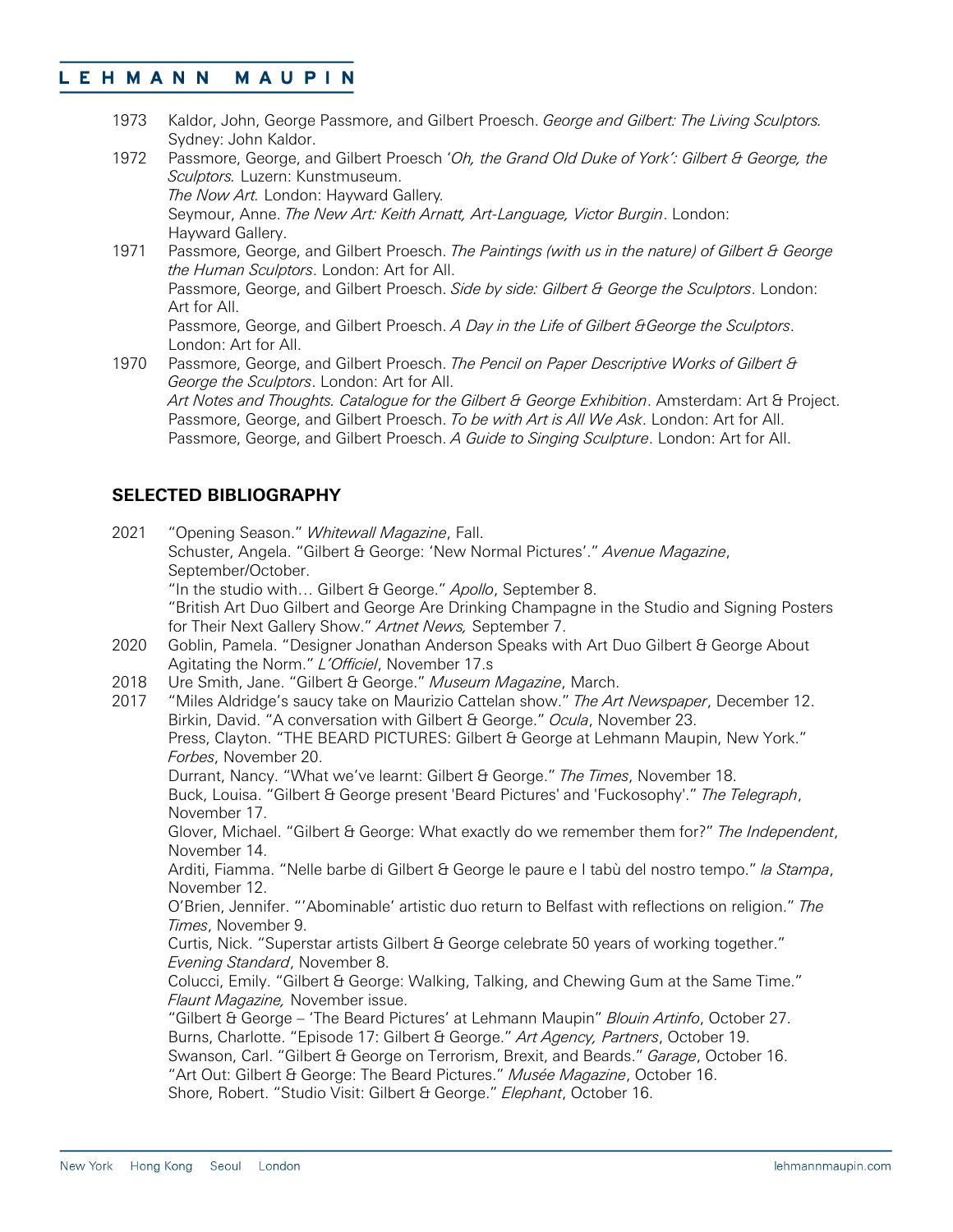- 1973 Kaldor, John, George Passmore, and Gilbert Proesch. *George and Gilbert: The Living Sculptors.*  Sydney: John Kaldor.
- 1972 Passmore, George, and Gilbert Proesch '*Oh, the Grand Old Duke of York': Gilbert & George, the Sculptors.* Luzern: Kunstmuseum. *The Now Art.* London: Hayward Gallery. Seymour, Anne. *The New Art: Keith Arnatt, Art-Language, Victor Burgin*. London: Hayward Gallery.
- 1971 Passmore, George, and Gilbert Proesch. *The Paintings (with us in the nature) of Gilbert & George the Human Sculptors*. London: Art for All. Passmore, George, and Gilbert Proesch. *Side by side: Gilbert & George the Sculptors*. London: Art for All. Passmore, George, and Gilbert Proesch. *A Day in the Life of Gilbert &George the Sculptors*. London: Art for All.
- 1970 Passmore, George, and Gilbert Proesch. *The Pencil on Paper Descriptive Works of Gilbert & George the Sculptors*. London: Art for All. *Art Notes and Thoughts. Catalogue for the Gilbert & George Exhibition*. Amsterdam: Art & Project. Passmore, George, and Gilbert Proesch. *To be with Art is All We Ask*. London: Art for All. Passmore, George, and Gilbert Proesch. *A Guide to Singing Sculpture*. London: Art for All.

### **SELECTED BIBLIOGRAPHY**

2021 "Opening Season." *Whitewall Magazine*, Fall. Schuster, Angela. "Gilbert & George: 'New Normal Pictures'." *Avenue Magazine*, September/October. "In the studio with… Gilbert & George." *Apollo*, September 8. "British Art Duo Gilbert and George Are Drinking Champagne in the Studio and Signing Posters for Their Next Gallery Show." *Artnet News,* September 7. 2020 Goblin, Pamela. "Designer Jonathan Anderson Speaks with Art Duo Gilbert & George About Agitating the Norm." *L'Officiel*, November 17.s 2018 Ure Smith, Jane. "Gilbert & George." *Museum Magazine*, March. 2017 "Miles Aldridge's saucy take on Maurizio Cattelan show." *The Art Newspaper*, December 12. Birkin, David. "A conversation with Gilbert & George." *Ocula*, November 23. Press, Clayton. "THE BEARD PICTURES: Gilbert & George at Lehmann Maupin, New York." *Forbes*, November 20. Durrant, Nancy. "What we've learnt: Gilbert & George." *The Times*, November 18. Buck, Louisa. "Gilbert & George present 'Beard Pictures' and 'Fuckosophy'." *The Telegraph*, November 17. Glover, Michael. "Gilbert & George: What exactly do we remember them for?" *The Independent*, November 14. Arditi, Fiamma. "Nelle barbe di Gilbert & George le paure e I tabù del nostro tempo." *la Stampa*, November 12. O'Brien, Jennifer. "'Abominable' artistic duo return to Belfast with reflections on religion." *The Times*, November 9. Curtis, Nick. "Superstar artists Gilbert & George celebrate 50 years of working together." *Evening Standard*, November 8. Colucci, Emily. "Gilbert & George: Walking, Talking, and Chewing Gum at the Same Time." *Flaunt Magazine,* November issue. "Gilbert & George – 'The Beard Pictures' at Lehmann Maupin" *Blouin Artinfo*, October 27. Burns, Charlotte. "Episode 17: Gilbert & George." *Art Agency, Partners*, October 19. Swanson, Carl. "Gilbert & George on Terrorism, Brexit, and Beards." *Garage*, October 16. "Art Out: Gilbert & George: The Beard Pictures." *Musée Magazine*, October 16. Shore, Robert. "Studio Visit: Gilbert & George." *Elephant*, October 16.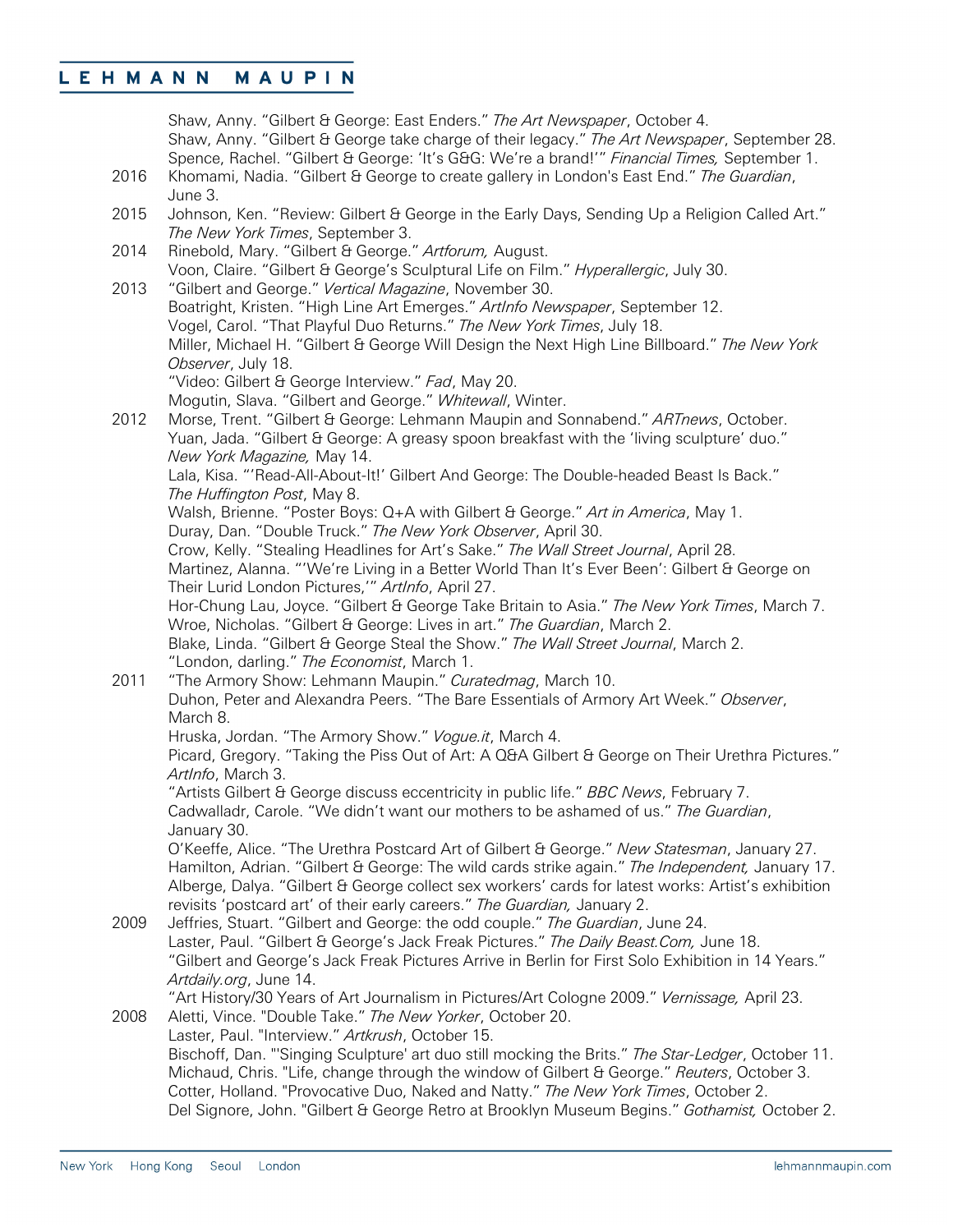Shaw, Anny. "Gilbert & George: East Enders." *The Art Newspaper*, October 4. Shaw, Anny. "Gilbert & George take charge of their legacy." *The Art Newspaper*, September 28. Spence, Rachel. "Gilbert & George: 'It's G&G: We're a brand!'" *Financial Times,* September 1. 2016 Khomami, Nadia. "Gilbert & George to create gallery in London's East End." *The Guardian*, June 3. 2015 Johnson, Ken. "Review: Gilbert & George in the Early Days, Sending Up a Religion Called Art." *The New York Times*, September 3. 2014 Rinebold, Mary. "Gilbert & George." *Artforum,* August. Voon, Claire. "Gilbert & George's Sculptural Life on Film." *Hyperallergic*, July 30. 2013 "Gilbert and George." *Vertical Magazine*, November 30. Boatright, Kristen. "High Line Art Emerges." *ArtInfo Newspaper*, September 12. Vogel, Carol. "That Playful Duo Returns." *The New York Times*, July 18. Miller, Michael H. "Gilbert & George Will Design the Next High Line Billboard." *The New York Observer*, July 18. "Video: Gilbert & George Interview." *Fad*, May 20. Mogutin, Slava. "Gilbert and George." *Whitewall*, Winter. 2012 Morse, Trent. "Gilbert & George: Lehmann Maupin and Sonnabend." *ARTnews*, October. Yuan, Jada. "Gilbert & George: A greasy spoon breakfast with the 'living sculpture' duo." *New York Magazine,* May 14. Lala, Kisa. "'Read-All-About-It!' Gilbert And George: The Double-headed Beast Is Back." *The Huffington Post*, May 8. Walsh, Brienne. "Poster Boys: Q+A with Gilbert & George." *Art in America*, May 1. Duray, Dan. "Double Truck." *The New York Observer*, April 30. Crow, Kelly. "Stealing Headlines for Art's Sake." *The Wall Street Journal*, April 28. Martinez, Alanna. "'We're Living in a Better World Than It's Ever Been': Gilbert & George on Their Lurid London Pictures,'" *ArtInfo*, April 27. Hor-Chung Lau, Joyce. "Gilbert & George Take Britain to Asia." *The New York Times*, March 7. Wroe, Nicholas. "Gilbert & George: Lives in art." *The Guardian*, March 2. Blake, Linda. "Gilbert & George Steal the Show." *The Wall Street Journal*, March 2. "London, darling." *The Economist*, March 1. 2011 "The Armory Show: Lehmann Maupin." *Curatedmag*, March 10. Duhon, Peter and Alexandra Peers. "The Bare Essentials of Armory Art Week." *Observer*, March 8. Hruska, Jordan. "The Armory Show." *Vogue.it*, March 4. Picard, Gregory. "Taking the Piss Out of Art: A Q&A Gilbert & George on Their Urethra Pictures." *ArtInfo*, March 3. "Artists Gilbert & George discuss eccentricity in public life." *BBC News*, February 7. Cadwalladr, Carole. "We didn't want our mothers to be ashamed of us." *The Guardian*, January 30. O'Keeffe, Alice. "The Urethra Postcard Art of Gilbert & George." *New Statesman*, January 27. Hamilton, Adrian. "Gilbert & George: The wild cards strike again." *The Independent,* January 17. Alberge, Dalya. "Gilbert & George collect sex workers' cards for latest works: Artist's exhibition revisits 'postcard art' of their early careers." *The Guardian,* January 2. 2009 Jeffries, Stuart. "Gilbert and George: the odd couple." *The Guardian*, June 24. Laster, Paul. "Gilbert & George's Jack Freak Pictures." *The Daily Beast.Com,* June 18. "Gilbert and George's Jack Freak Pictures Arrive in Berlin for First Solo Exhibition in 14 Years." *Artdaily.org*, June 14. "Art History/30 Years of Art Journalism in Pictures/Art Cologne 2009." *Vernissage,* April 23. 2008 Aletti, Vince. "Double Take." *The New Yorker*, October 20. Laster, Paul. "Interview." *Artkrush*, October 15. Bischoff, Dan. "'Singing Sculpture' art duo still mocking the Brits." *The Star-Ledger*, October 11. Michaud, Chris. "Life, change through the window of Gilbert & George." *Reuters*, October 3. Cotter, Holland. "Provocative Duo, Naked and Natty." *The New York Times*, October 2. Del Signore, John. "Gilbert & George Retro at Brooklyn Museum Begins." *Gothamist,* October 2.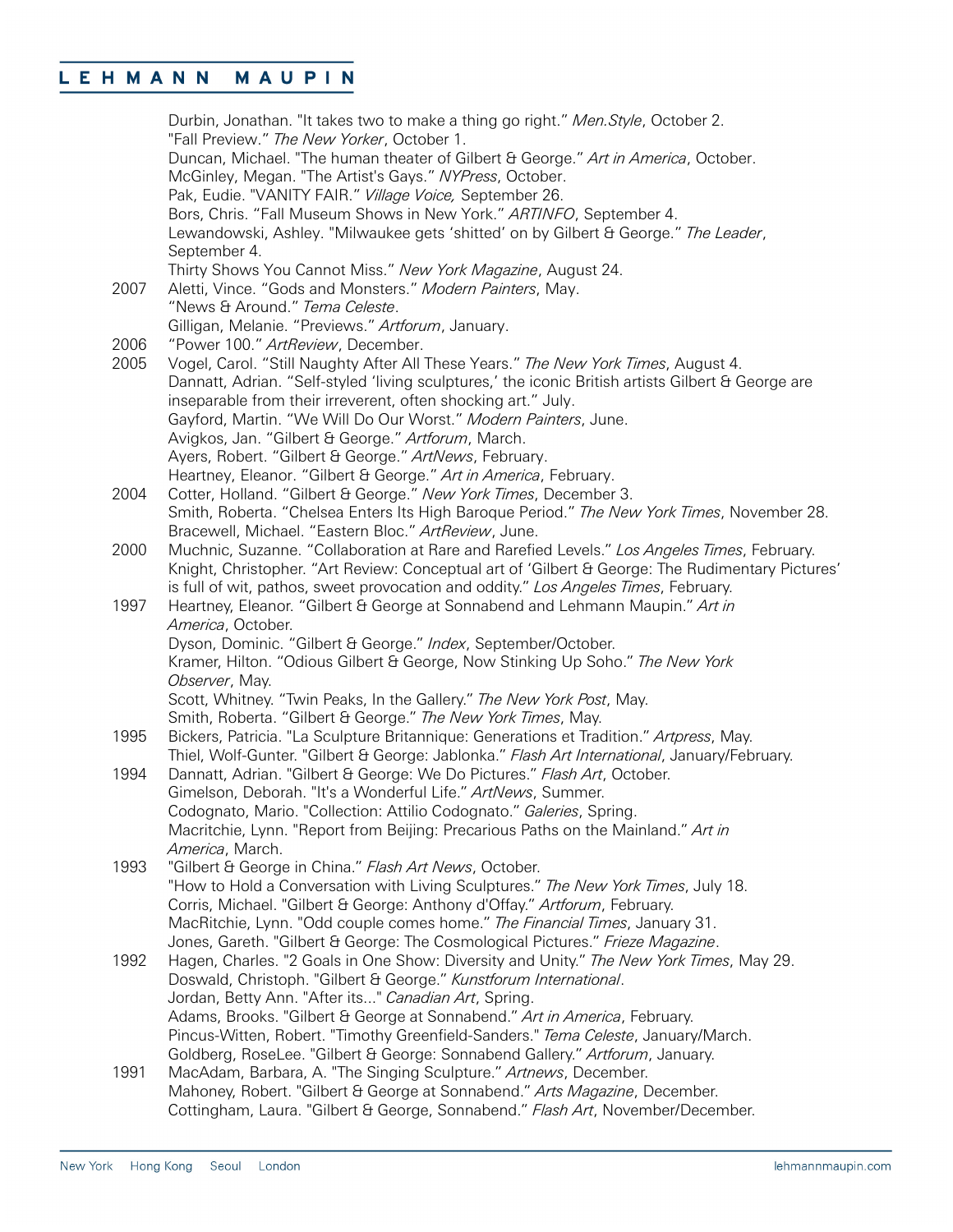|      | Durbin, Jonathan. "It takes two to make a thing go right." Men. Style, October 2.                  |
|------|----------------------------------------------------------------------------------------------------|
|      | "Fall Preview." The New Yorker, October 1.                                                         |
|      | Duncan, Michael. "The human theater of Gilbert & George." Art in America, October.                 |
|      | McGinley, Megan. "The Artist's Gays." NYPress, October.                                            |
|      | Pak, Eudie. "VANITY FAIR." Village Voice, September 26.                                            |
|      | Bors, Chris. "Fall Museum Shows in New York." ARTINFO, September 4.                                |
|      | Lewandowski, Ashley. "Milwaukee gets 'shitted' on by Gilbert & George." The Leader,                |
|      | September 4.                                                                                       |
|      | Thirty Shows You Cannot Miss." New York Magazine, August 24.                                       |
| 2007 | Aletti, Vince. "Gods and Monsters." Modern Painters, May.                                          |
|      | "News & Around." Tema Celeste.                                                                     |
|      | Gilligan, Melanie. "Previews." Artforum, January.                                                  |
| 2006 | "Power 100." ArtReview, December.                                                                  |
| 2005 | Vogel, Carol. "Still Naughty After All These Years." The New York Times, August 4.                 |
|      | Dannatt, Adrian. "Self-styled 'living sculptures,' the iconic British artists Gilbert & George are |
|      | inseparable from their irreverent, often shocking art." July.                                      |
|      | Gayford, Martin. "We Will Do Our Worst." Modern Painters, June.                                    |
|      | Avigkos, Jan. "Gilbert & George." Artforum, March.                                                 |
|      | Ayers, Robert. "Gilbert & George." ArtNews, February.                                              |
|      | Heartney, Eleanor. "Gilbert & George." Art in America, February.                                   |
| 2004 | Cotter, Holland. "Gilbert & George." New York Times, December 3.                                   |
|      | Smith, Roberta. "Chelsea Enters Its High Baroque Period." The New York Times, November 28.         |
|      | Bracewell, Michael. "Eastern Bloc." ArtReview, June.                                               |
| 2000 | Muchnic, Suzanne. "Collaboration at Rare and Rarefied Levels." Los Angeles Times, February.        |
|      | Knight, Christopher. "Art Review: Conceptual art of 'Gilbert & George: The Rudimentary Pictures'   |
|      | is full of wit, pathos, sweet provocation and oddity." Los Angeles Times, February.                |
| 1997 | Heartney, Eleanor. "Gilbert & George at Sonnabend and Lehmann Maupin." Art in                      |
|      | America, October.                                                                                  |
|      | Dyson, Dominic. "Gilbert & George." Index, September/October.                                      |
|      | Kramer, Hilton. "Odious Gilbert & George, Now Stinking Up Soho." The New York                      |
|      | Observer, May.                                                                                     |
|      | Scott, Whitney. "Twin Peaks, In the Gallery." The New York Post, May.                              |
|      | Smith, Roberta. "Gilbert & George." The New York Times, May.                                       |
| 1995 | Bickers, Patricia. "La Sculpture Britannique: Generations et Tradition." Artpress, May.            |
|      | Thiel, Wolf-Gunter. "Gilbert & George: Jablonka." Flash Art International, January/February.       |
| 1994 | Dannatt, Adrian. "Gilbert & George: We Do Pictures." Flash Art, October.                           |
|      | Gimelson, Deborah. "It's a Wonderful Life." ArtNews, Summer.                                       |
|      | Codognato, Mario. "Collection: Attilio Codognato." Galeries, Spring.                               |
|      | Macritchie, Lynn. "Report from Beijing: Precarious Paths on the Mainland." Art in                  |
|      | America, March.                                                                                    |
| 1993 | "Gilbert & George in China." Flash Art News, October.                                              |
|      | "How to Hold a Conversation with Living Sculptures." The New York Times, July 18.                  |
|      | Corris, Michael. "Gilbert & George: Anthony d'Offay." Artforum, February.                          |
|      | MacRitchie, Lynn. "Odd couple comes home." The Financial Times, January 31.                        |
|      | Jones, Gareth. "Gilbert & George: The Cosmological Pictures." Frieze Magazine.                     |
| 1992 | Hagen, Charles. "2 Goals in One Show: Diversity and Unity." The New York Times, May 29.            |
|      | Doswald, Christoph. "Gilbert & George." Kunstforum International.                                  |
|      | Jordan, Betty Ann. "After its" Canadian Art, Spring.                                               |
|      | Adams, Brooks. "Gilbert & George at Sonnabend." Art in America, February.                          |
|      | Pincus-Witten, Robert. "Timothy Greenfield-Sanders." Tema Celeste, January/March.                  |
|      | Goldberg, RoseLee. "Gilbert & George: Sonnabend Gallery." Artforum, January.                       |
| 1991 | MacAdam, Barbara, A. "The Singing Sculpture." Artnews, December.                                   |
|      | Mahoney, Robert. "Gilbert & George at Sonnabend." Arts Magazine, December.                         |
|      | Cottingham, Laura. "Gilbert & George, Sonnabend." Flash Art, November/December.                    |
|      |                                                                                                    |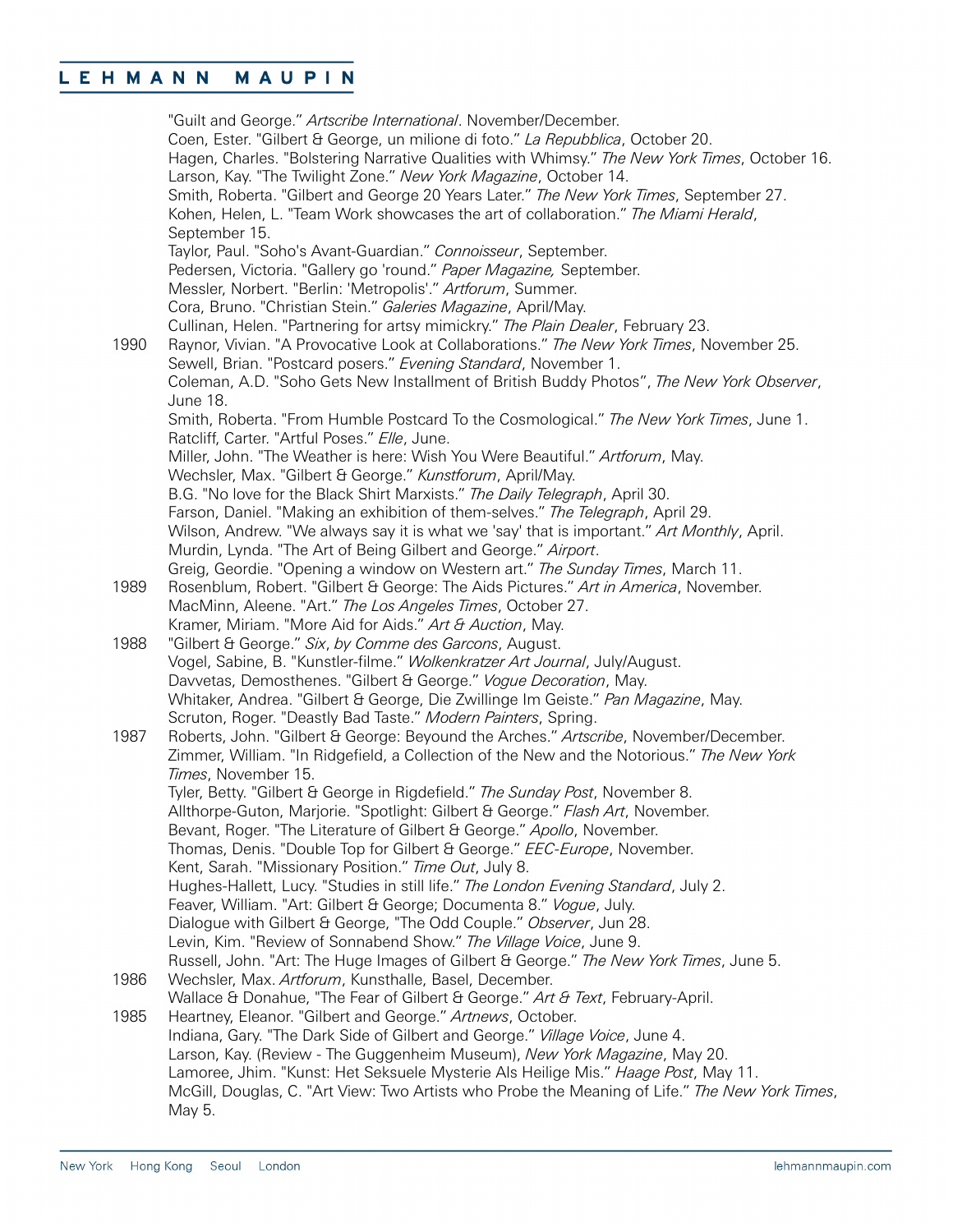### MAUPIN LEHMANN

"Guilt and George." *Artscribe International*. November/December. Coen, Ester. "Gilbert & George, un milione di foto." *La Repubblica*, October 20. Hagen, Charles. "Bolstering Narrative Qualities with Whimsy." *The New York Times*, October 16. Larson, Kay. "The Twilight Zone." *New York Magazine*, October 14. Smith, Roberta. "Gilbert and George 20 Years Later." *The New York Times*, September 27. Kohen, Helen, L. "Team Work showcases the art of collaboration." *The Miami Herald*, September 15. Taylor, Paul. "Soho's Avant-Guardian." *Connoisseur*, September. Pedersen, Victoria. "Gallery go 'round." *Paper Magazine,* September. Messler, Norbert. "Berlin: 'Metropolis'." *Artforum*, Summer. Cora, Bruno. "Christian Stein." *Galeries Magazine*, April/May. Cullinan, Helen. "Partnering for artsy mimickry." *The Plain Dealer*, February 23. 1990 Raynor, Vivian. "A Provocative Look at Collaborations." *The New York Times*, November 25. Sewell, Brian. "Postcard posers." *Evening Standard*, November 1. Coleman, A.D. "Soho Gets New Installment of British Buddy Photos", *The New York Observer*, June 18. Smith, Roberta. "From Humble Postcard To the Cosmological." *The New York Times*, June 1. Ratcliff, Carter. "Artful Poses." *Elle*, June. Miller, John. "The Weather is here: Wish You Were Beautiful." *Artforum*, May. Wechsler, Max. "Gilbert & George." *Kunstforum*, April/May. B.G. "No love for the Black Shirt Marxists." *The Daily Telegraph*, April 30. Farson, Daniel. "Making an exhibition of them-selves." *The Telegraph*, April 29. Wilson, Andrew. "We always say it is what we 'say' that is important." *Art Monthly*, April. Murdin, Lynda. "The Art of Being Gilbert and George." *Airport*. Greig, Geordie. "Opening a window on Western art." *The Sunday Times*, March 11. 1989 Rosenblum, Robert. "Gilbert & George: The Aids Pictures." *Art in America*, November. MacMinn, Aleene. "Art." *The Los Angeles Times*, October 27. Kramer, Miriam. "More Aid for Aids." *Art & Auction*, May. 1988 "Gilbert & George." *Six*, *by Comme des Garcons*, August. Vogel, Sabine, B. "Kunstler-filme." *Wolkenkratzer Art Journal*, July/August. Davvetas, Demosthenes. "Gilbert & George." *Vogue Decoration*, May. Whitaker, Andrea. "Gilbert & George, Die Zwillinge Im Geiste." *Pan Magazine*, May. Scruton, Roger. "Deastly Bad Taste." *Modern Painters*, Spring. 1987 Roberts, John. "Gilbert & George: Beyound the Arches." *Artscribe*, November/December. Zimmer, William. "In Ridgefield, a Collection of the New and the Notorious." *The New York Times*, November 15. Tyler, Betty. "Gilbert & George in Rigdefield." *The Sunday Post*, November 8. Allthorpe-Guton, Marjorie. "Spotlight: Gilbert & George." *Flash Art*, November. Bevant, Roger. "The Literature of Gilbert & George." *Apollo*, November. Thomas, Denis. "Double Top for Gilbert & George." *EEC-Europe*, November. Kent, Sarah. "Missionary Position." *Time Out*, July 8. Hughes-Hallett, Lucy. "Studies in still life." *The London Evening Standard*, July 2. Feaver, William. "Art: Gilbert & George; Documenta 8." *Vogue*, July. Dialogue with Gilbert & George, "The Odd Couple." *Observer*, Jun 28. Levin, Kim. "Review of Sonnabend Show." *The Village Voice*, June 9. Russell, John. "Art: The Huge Images of Gilbert & George." *The New York Times*, June 5. 1986 Wechsler, Max. *Artforum*, Kunsthalle, Basel, December. Wallace & Donahue, "The Fear of Gilbert & George." *Art & Text*, February-April. 1985 Heartney, Eleanor. "Gilbert and George." *Artnews*, October. Indiana, Gary. "The Dark Side of Gilbert and George." *Village Voice*, June 4. Larson, Kay. (Review - The Guggenheim Museum), *New York Magazine*, May 20. Lamoree, Jhim. "Kunst: Het Seksuele Mysterie Als Heilige Mis." *Haage Post*, May 11. McGill, Douglas, C. "Art View: Two Artists who Probe the Meaning of Life." *The New York Times*, May 5.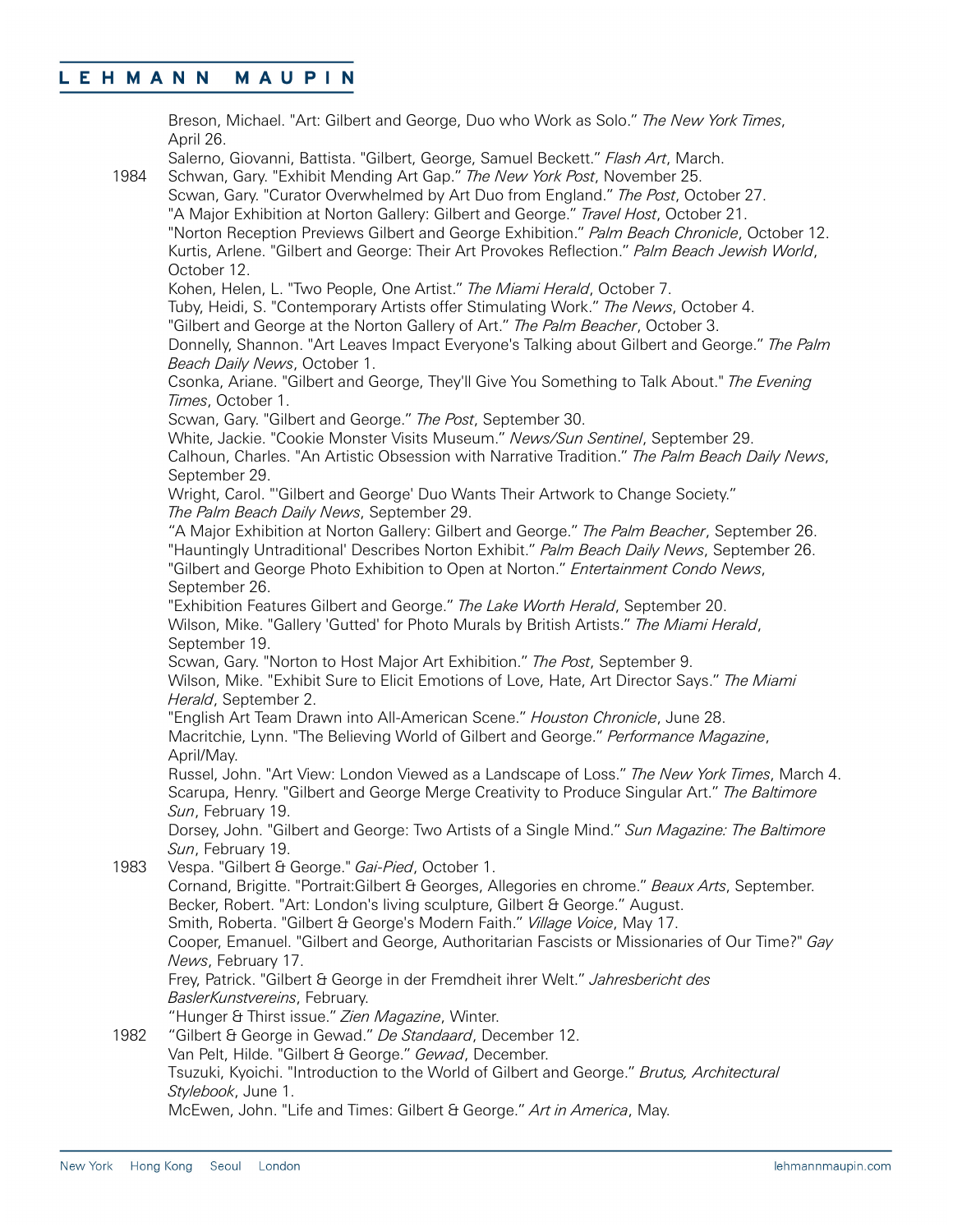Breson, Michael. "Art: Gilbert and George, Duo who Work as Solo." *The New York Times*, April 26. Salerno, Giovanni, Battista. "Gilbert, George, Samuel Beckett." *Flash Art*, March. 1984 Schwan, Gary. "Exhibit Mending Art Gap." *The New York Post*, November 25. Scwan, Gary. "Curator Overwhelmed by Art Duo from England." *The Post*, October 27. "A Major Exhibition at Norton Gallery: Gilbert and George." *Travel Host*, October 21. "Norton Reception Previews Gilbert and George Exhibition." *Palm Beach Chronicle*, October 12. Kurtis, Arlene. "Gilbert and George: Their Art Provokes Reflection." *Palm Beach Jewish World*, October 12. Kohen, Helen, L. "Two People, One Artist." *The Miami Herald*, October 7. Tuby, Heidi, S. "Contemporary Artists offer Stimulating Work." *The News*, October 4. "Gilbert and George at the Norton Gallery of Art." *The Palm Beacher*, October 3. Donnelly, Shannon. "Art Leaves Impact Everyone's Talking about Gilbert and George." *The Palm Beach Daily News*, October 1. Csonka, Ariane. "Gilbert and George, They'll Give You Something to Talk About." *The Evening Times*, October 1. Scwan, Gary. "Gilbert and George." *The Post*, September 30. White, Jackie. "Cookie Monster Visits Museum." *News/Sun Sentinel*, September 29. Calhoun, Charles. "An Artistic Obsession with Narrative Tradition." *The Palm Beach Daily News*, September 29. Wright, Carol. "'Gilbert and George' Duo Wants Their Artwork to Change Society." *The Palm Beach Daily News*, September 29. "A Major Exhibition at Norton Gallery: Gilbert and George." *The Palm Beacher*, September 26. "Hauntingly Untraditional' Describes Norton Exhibit." *Palm Beach Daily News*, September 26. "Gilbert and George Photo Exhibition to Open at Norton." *Entertainment Condo News*, September 26. "Exhibition Features Gilbert and George." *The Lake Worth Herald*, September 20. Wilson, Mike. "Gallery 'Gutted' for Photo Murals by British Artists." *The Miami Herald*, September 19. Scwan, Gary. "Norton to Host Major Art Exhibition." *The Post*, September 9. Wilson, Mike. "Exhibit Sure to Elicit Emotions of Love, Hate, Art Director Says." *The Miami Herald*, September 2. "English Art Team Drawn into All-American Scene." *Houston Chronicle*, June 28. Macritchie, Lynn. "The Believing World of Gilbert and George." *Performance Magazine*, April/May. Russel, John. "Art View: London Viewed as a Landscape of Loss." *The New York Times*, March 4. Scarupa, Henry. "Gilbert and George Merge Creativity to Produce Singular Art." *The Baltimore Sun*, February 19. Dorsey, John. "Gilbert and George: Two Artists of a Single Mind." *Sun Magazine: The Baltimore Sun*, February 19. 1983 Vespa. "Gilbert & George." *Gai-Pied*, October 1. Cornand, Brigitte. "Portrait:Gilbert & Georges, Allegories en chrome." *Beaux Arts*, September. Becker, Robert. "Art: London's living sculpture, Gilbert & George." August. Smith, Roberta. "Gilbert & George's Modern Faith." *Village Voice*, May 17. Cooper, Emanuel. "Gilbert and George, Authoritarian Fascists or Missionaries of Our Time?" *Gay News*, February 17. Frey, Patrick. "Gilbert & George in der Fremdheit ihrer Welt." *Jahresbericht des BaslerKunstvereins*, February. "Hunger & Thirst issue." *Zien Magazine*, Winter. 1982 "Gilbert & George in Gewad." *De Standaard*, December 12. Van Pelt, Hilde. "Gilbert & George." *Gewad*, December. Tsuzuki, Kyoichi. "Introduction to the World of Gilbert and George." *Brutus, Architectural Stylebook*, June 1. McEwen, John. "Life and Times: Gilbert & George." *Art in America*, May.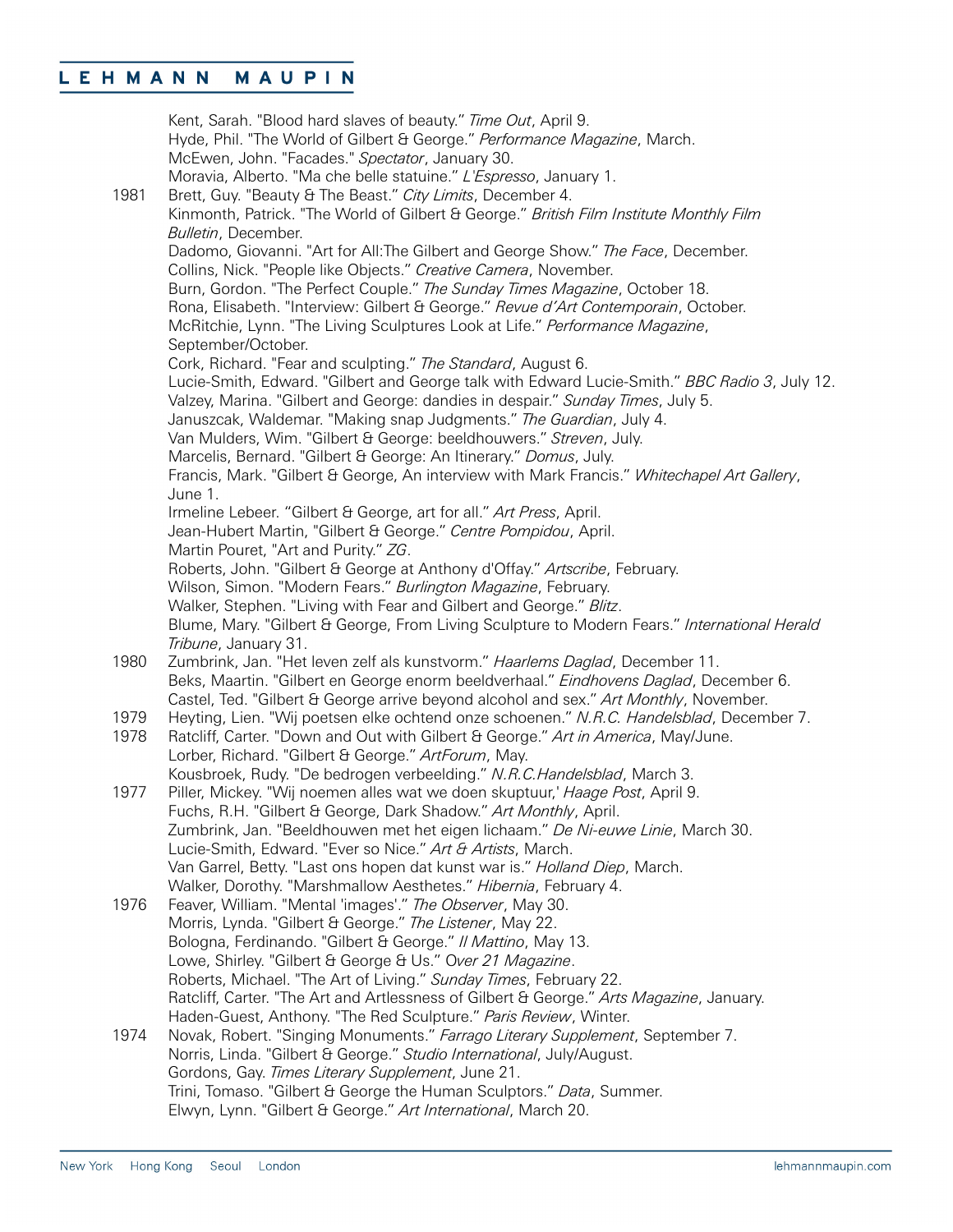|      | Kent, Sarah. "Blood hard slaves of beauty." Time Out, April 9.<br>Hyde, Phil. "The World of Gilbert & George." Performance Magazine, March.<br>McEwen, John. "Facades." Spectator, January 30. |
|------|------------------------------------------------------------------------------------------------------------------------------------------------------------------------------------------------|
|      | Moravia, Alberto. "Ma che belle statuine." L'Espresso, January 1.                                                                                                                              |
| 1981 | Brett, Guy. "Beauty & The Beast." City Limits, December 4.                                                                                                                                     |
|      | Kinmonth, Patrick. "The World of Gilbert & George." British Film Institute Monthly Film<br>Bulletin, December.                                                                                 |
|      | Dadomo, Giovanni. "Art for All: The Gilbert and George Show." The Face, December.                                                                                                              |
|      | Collins, Nick. "People like Objects." Creative Camera, November.                                                                                                                               |
|      | Burn, Gordon. "The Perfect Couple." The Sunday Times Magazine, October 18.                                                                                                                     |
|      | Rona, Elisabeth. "Interview: Gilbert & George." Revue d'Art Contemporain, October.                                                                                                             |
|      | McRitchie, Lynn. "The Living Sculptures Look at Life." Performance Magazine,                                                                                                                   |
|      | September/October.                                                                                                                                                                             |
|      | Cork, Richard. "Fear and sculpting." The Standard, August 6.                                                                                                                                   |
|      | Lucie-Smith, Edward. "Gilbert and George talk with Edward Lucie-Smith." BBC Radio 3, July 12.<br>Valzey, Marina. "Gilbert and George: dandies in despair." Sunday Times, July 5.               |
|      | Januszcak, Waldemar. "Making snap Judgments." The Guardian, July 4.                                                                                                                            |
|      | Van Mulders, Wim. "Gilbert & George: beeldhouwers." Streven, July.                                                                                                                             |
|      | Marcelis, Bernard. "Gilbert & George: An Itinerary." Domus, July.                                                                                                                              |
|      | Francis, Mark. "Gilbert & George, An interview with Mark Francis." Whitechapel Art Gallery,                                                                                                    |
|      | June 1.                                                                                                                                                                                        |
|      | Irmeline Lebeer. "Gilbert & George, art for all." Art Press, April.                                                                                                                            |
|      | Jean-Hubert Martin, "Gilbert & George." Centre Pompidou, April.                                                                                                                                |
|      | Martin Pouret, "Art and Purity." ZG.                                                                                                                                                           |
|      | Roberts, John. "Gilbert & George at Anthony d'Offay." Artscribe, February.                                                                                                                     |
|      | Wilson, Simon. "Modern Fears." Burlington Magazine, February.                                                                                                                                  |
|      | Walker, Stephen. "Living with Fear and Gilbert and George." Blitz.                                                                                                                             |
|      | Blume, Mary. "Gilbert & George, From Living Sculpture to Modern Fears." International Herald<br>Tribune, January 31.                                                                           |
| 1980 | Zumbrink, Jan. "Het leven zelf als kunstvorm." Haarlems Daglad, December 11.                                                                                                                   |
|      | Beks, Maartin. "Gilbert en George enorm beeldverhaal." Eindhovens Daglad, December 6.                                                                                                          |
|      | Castel, Ted. "Gilbert & George arrive beyond alcohol and sex." Art Monthly, November.                                                                                                          |
| 1979 | Heyting, Lien. "Wij poetsen elke ochtend onze schoenen." N.R.C. Handelsblad, December 7.                                                                                                       |
| 1978 | Ratcliff, Carter. "Down and Out with Gilbert & George." Art in America, May/June.                                                                                                              |
|      | Lorber, Richard. "Gilbert & George." ArtForum, May.                                                                                                                                            |
|      | Kousbroek, Rudy. "De bedrogen verbeelding." N.R.C. Handelsblad, March 3.                                                                                                                       |
| 1977 | Piller, Mickey. "Wij noemen alles wat we doen skuptuur,' Haage Post, April 9.                                                                                                                  |
|      | Fuchs, R.H. "Gilbert & George, Dark Shadow." Art Monthly, April.                                                                                                                               |
|      | Zumbrink, Jan. "Beeldhouwen met het eigen lichaam." De Ni-euwe Linie, March 30.                                                                                                                |
|      | Lucie-Smith, Edward. "Ever so Nice." Art & Artists, March.                                                                                                                                     |
|      | Van Garrel, Betty. "Last ons hopen dat kunst war is." Holland Diep, March.<br>Walker, Dorothy. "Marshmallow Aesthetes." Hibernia, February 4.                                                  |
| 1976 | Feaver, William. "Mental 'images'." The Observer, May 30.                                                                                                                                      |
|      | Morris, Lynda. "Gilbert & George." The Listener, May 22.                                                                                                                                       |
|      | Bologna, Ferdinando. "Gilbert & George." Il Mattino, May 13.                                                                                                                                   |
|      | Lowe, Shirley. "Gilbert & George & Us." Over 21 Magazine.                                                                                                                                      |
|      | Roberts, Michael. "The Art of Living." Sunday Times, February 22.                                                                                                                              |
|      | Ratcliff, Carter. "The Art and Artlessness of Gilbert & George." Arts Magazine, January.                                                                                                       |
|      | Haden-Guest, Anthony. "The Red Sculpture." Paris Review, Winter.                                                                                                                               |
| 1974 | Novak, Robert. "Singing Monuments." Farrago Literary Supplement, September 7.                                                                                                                  |
|      | Norris, Linda. "Gilbert & George." Studio International, July/August.                                                                                                                          |
|      | Gordons, Gay. Times Literary Supplement, June 21.                                                                                                                                              |
|      | Trini, Tomaso. "Gilbert & George the Human Sculptors." Data, Summer.                                                                                                                           |
|      | Elwyn, Lynn. "Gilbert & George." Art International, March 20.                                                                                                                                  |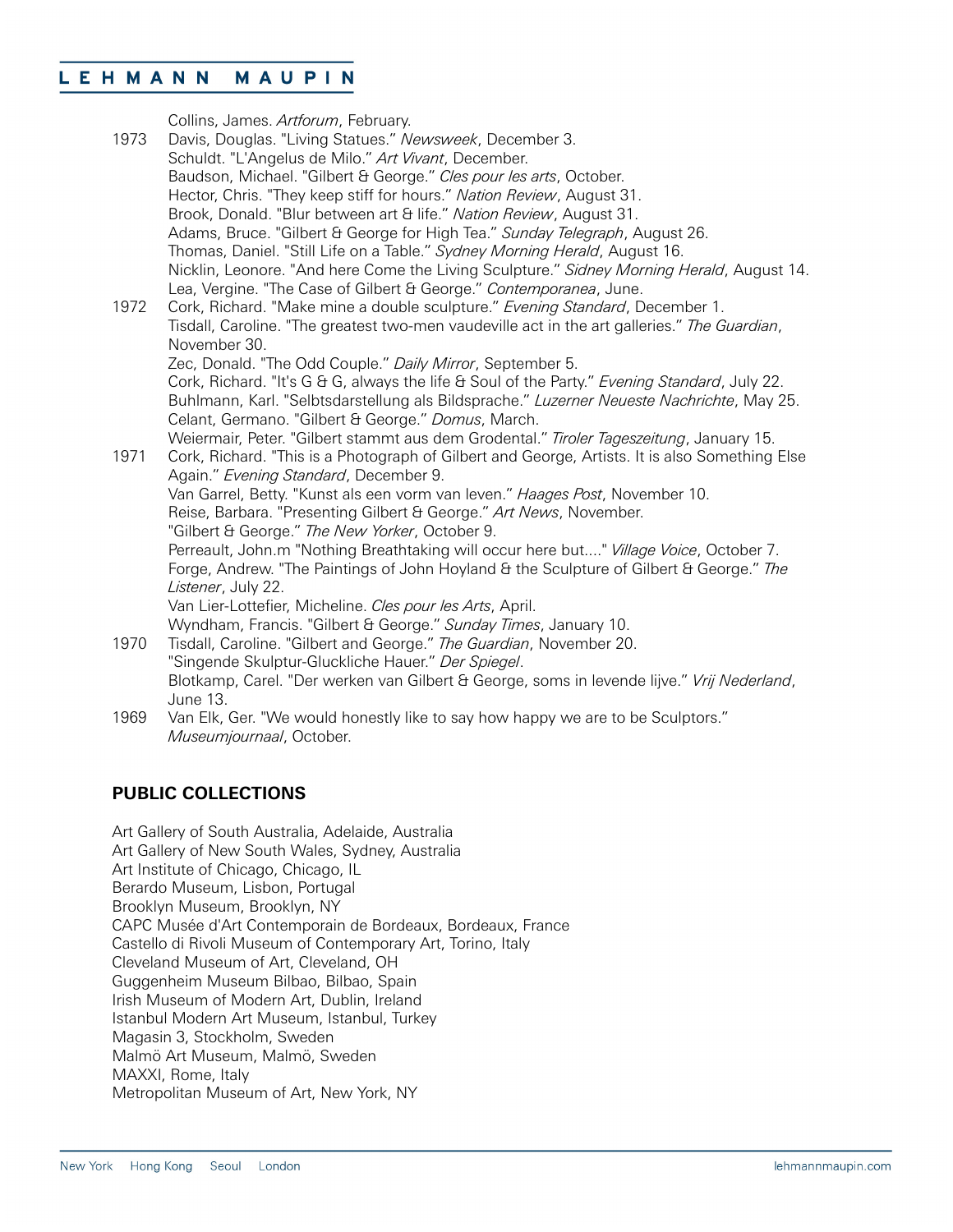| 1973 | Collins, James. Artforum, February.<br>Davis, Douglas. "Living Statues." Newsweek, December 3.<br>Schuldt. "L'Angelus de Milo." Art Vivant, December.<br>Baudson, Michael. "Gilbert & George." Cles pour les arts, October.<br>Hector, Chris. "They keep stiff for hours." Nation Review, August 31.<br>Brook, Donald. "Blur between art & life." Nation Review, August 31.<br>Adams, Bruce. "Gilbert & George for High Tea." Sunday Telegraph, August 26.<br>Thomas, Daniel. "Still Life on a Table." Sydney Morning Herald, August 16.<br>Nicklin, Leonore. "And here Come the Living Sculpture." Sidney Morning Herald, August 14. |
|------|---------------------------------------------------------------------------------------------------------------------------------------------------------------------------------------------------------------------------------------------------------------------------------------------------------------------------------------------------------------------------------------------------------------------------------------------------------------------------------------------------------------------------------------------------------------------------------------------------------------------------------------|
| 1972 | Lea, Vergine. "The Case of Gilbert & George." Contemporanea, June.<br>Cork, Richard. "Make mine a double sculpture." Evening Standard, December 1.<br>Tisdall, Caroline. "The greatest two-men vaudeville act in the art galleries." The Guardian,<br>November 30.                                                                                                                                                                                                                                                                                                                                                                    |
|      | Zec, Donald. "The Odd Couple." Daily Mirror, September 5.<br>Cork, Richard. "It's G & G, always the life & Soul of the Party." Evening Standard, July 22.<br>Buhlmann, Karl. "Selbtsdarstellung als Bildsprache." Luzerner Neueste Nachrichte, May 25.<br>Celant, Germano. "Gilbert & George." Domus, March.                                                                                                                                                                                                                                                                                                                          |
| 1971 | Weiermair, Peter. "Gilbert stammt aus dem Grodental." Tiroler Tageszeitung, January 15.<br>Cork, Richard. "This is a Photograph of Gilbert and George, Artists. It is also Something Else<br>Again." Evening Standard, December 9.                                                                                                                                                                                                                                                                                                                                                                                                    |
|      | Van Garrel, Betty. "Kunst als een vorm van leven." Haages Post, November 10.<br>Reise, Barbara. "Presenting Gilbert & George." Art News, November.                                                                                                                                                                                                                                                                                                                                                                                                                                                                                    |
|      | "Gilbert & George." The New Yorker, October 9.                                                                                                                                                                                                                                                                                                                                                                                                                                                                                                                                                                                        |
|      | Perreault, John.m "Nothing Breathtaking will occur here but" Village Voice, October 7.<br>Forge, Andrew. "The Paintings of John Hoyland & the Sculpture of Gilbert & George." The<br>Listener, July 22.                                                                                                                                                                                                                                                                                                                                                                                                                               |
|      | Van Lier-Lottefier, Micheline. Cles pour les Arts, April.                                                                                                                                                                                                                                                                                                                                                                                                                                                                                                                                                                             |
| 1970 | Wyndham, Francis. "Gilbert & George." Sunday Times, January 10.<br>Tisdall, Caroline. "Gilbert and George." The Guardian, November 20.                                                                                                                                                                                                                                                                                                                                                                                                                                                                                                |
|      | "Singende Skulptur-Gluckliche Hauer." Der Spiegel.<br>Blotkamp, Carel. "Der werken van Gilbert & George, soms in levende lijve." Vrij Nederland,<br>June 13.                                                                                                                                                                                                                                                                                                                                                                                                                                                                          |
| 1969 | Van Elk, Ger. "We would honestly like to say how happy we are to be Sculptors."<br>Museumjournaal, October.                                                                                                                                                                                                                                                                                                                                                                                                                                                                                                                           |

### **PUBLIC COLLECTIONS**

Art Gallery of South Australia, Adelaide, Australia Art Gallery of New South Wales, Sydney, Australia Art Institute of Chicago, Chicago, IL Berardo Museum, Lisbon, Portugal Brooklyn Museum, Brooklyn, NY CAPC Musée d'Art Contemporain de Bordeaux, Bordeaux, France Castello di Rivoli Museum of Contemporary Art, Torino, Italy Cleveland Museum of Art, Cleveland, OH Guggenheim Museum Bilbao, Bilbao, Spain Irish Museum of Modern Art, Dublin, Ireland Istanbul Modern Art Museum, Istanbul, Turkey Magasin 3, Stockholm, Sweden Malmö Art Museum, Malmö, Sweden MAXXI, Rome, Italy Metropolitan Museum of Art, New York, NY